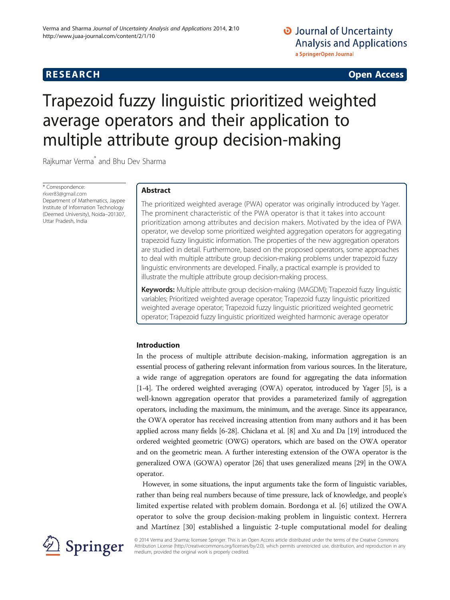# Trapezoid fuzzy linguistic prioritized weighted average operators and their application to multiple attribute group decision-making

Rajkumar Verma\* and Bhu Dev Sharma

\* Correspondence: [rkver83@gmail.com](mailto:rkver83@gmail.com) Department of Mathematics, Jaypee Institute of Information Technology (Deemed University), Noida–201307, Uttar Pradesh, India

# Abstract

The prioritized weighted average (PWA) operator was originally introduced by Yager. The prominent characteristic of the PWA operator is that it takes into account prioritization among attributes and decision makers. Motivated by the idea of PWA operator, we develop some prioritized weighted aggregation operators for aggregating trapezoid fuzzy linguistic information. The properties of the new aggregation operators are studied in detail. Furthermore, based on the proposed operators, some approaches to deal with multiple attribute group decision-making problems under trapezoid fuzzy linguistic environments are developed. Finally, a practical example is provided to illustrate the multiple attribute group decision-making process.

Keywords: Multiple attribute group decision-making (MAGDM); Trapezoid fuzzy linguistic variables; Prioritized weighted average operator; Trapezoid fuzzy linguistic prioritized weighted average operator; Trapezoid fuzzy linguistic prioritized weighted geometric operator; Trapezoid fuzzy linguistic prioritized weighted harmonic average operator

# Introduction

In the process of multiple attribute decision-making, information aggregation is an essential process of gathering relevant information from various sources. In the literature, a wide range of aggregation operators are found for aggregating the data information [[1-4\]](#page-17-0). The ordered weighted averaging (OWA) operator, introduced by Yager [\[5](#page-17-0)], is a well-known aggregation operator that provides a parameterized family of aggregation operators, including the maximum, the minimum, and the average. Since its appearance, the OWA operator has received increasing attention from many authors and it has been applied across many fields [\[6-28](#page-17-0)]. Chiclana et al. [\[8](#page-17-0)] and Xu and Da [\[19\]](#page-17-0) introduced the ordered weighted geometric (OWG) operators, which are based on the OWA operator and on the geometric mean. A further interesting extension of the OWA operator is the generalized OWA (GOWA) operator [\[26\]](#page-17-0) that uses generalized means [[29](#page-17-0)] in the OWA operator.

However, in some situations, the input arguments take the form of linguistic variables, rather than being real numbers because of time pressure, lack of knowledge, and people's limited expertise related with problem domain. Bordonga et al. [[6\]](#page-17-0) utilized the OWA operator to solve the group decision-making problem in linguistic context. Herrera and Martínez [[30\]](#page-18-0) established a linguistic 2-tuple computational model for dealing



© 2014 Verma and Sharma; licensee Springer. This is an Open Access article distributed under the terms of the Creative Commons Attribution License [\(http://creativecommons.org/licenses/by/2.0\)](http://creativecommons.org/licenses/by/2.0), which permits unrestricted use, distribution, and reproduction in any medium, provided the original work is properly credited.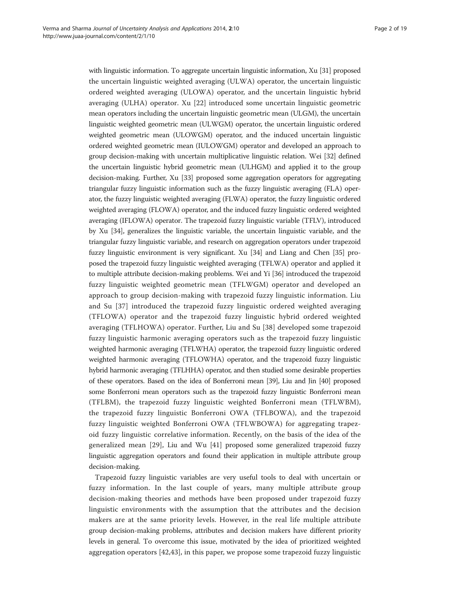with linguistic information. To aggregate uncertain linguistic information, Xu [\[31\]](#page-18-0) proposed the uncertain linguistic weighted averaging (ULWA) operator, the uncertain linguistic ordered weighted averaging (ULOWA) operator, and the uncertain linguistic hybrid averaging (ULHA) operator. Xu [[22\]](#page-17-0) introduced some uncertain linguistic geometric mean operators including the uncertain linguistic geometric mean (ULGM), the uncertain linguistic weighted geometric mean (ULWGM) operator, the uncertain linguistic ordered weighted geometric mean (ULOWGM) operator, and the induced uncertain linguistic ordered weighted geometric mean (IULOWGM) operator and developed an approach to group decision-making with uncertain multiplicative linguistic relation. Wei [\[32\]](#page-18-0) defined the uncertain linguistic hybrid geometric mean (ULHGM) and applied it to the group decision-making. Further, Xu [\[33\]](#page-18-0) proposed some aggregation operators for aggregating triangular fuzzy linguistic information such as the fuzzy linguistic averaging (FLA) operator, the fuzzy linguistic weighted averaging (FLWA) operator, the fuzzy linguistic ordered weighted averaging (FLOWA) operator, and the induced fuzzy linguistic ordered weighted averaging (IFLOWA) operator. The trapezoid fuzzy linguistic variable (TFLV), introduced by Xu [\[34\]](#page-18-0), generalizes the linguistic variable, the uncertain linguistic variable, and the triangular fuzzy linguistic variable, and research on aggregation operators under trapezoid fuzzy linguistic environment is very significant. Xu [[34](#page-18-0)] and Liang and Chen [[35](#page-18-0)] proposed the trapezoid fuzzy linguistic weighted averaging (TFLWA) operator and applied it to multiple attribute decision-making problems. Wei and Yi [\[36\]](#page-18-0) introduced the trapezoid fuzzy linguistic weighted geometric mean (TFLWGM) operator and developed an approach to group decision-making with trapezoid fuzzy linguistic information. Liu and Su [\[37](#page-18-0)] introduced the trapezoid fuzzy linguistic ordered weighted averaging (TFLOWA) operator and the trapezoid fuzzy linguistic hybrid ordered weighted averaging (TFLHOWA) operator. Further, Liu and Su [[38](#page-18-0)] developed some trapezoid fuzzy linguistic harmonic averaging operators such as the trapezoid fuzzy linguistic weighted harmonic averaging (TFLWHA) operator, the trapezoid fuzzy linguistic ordered weighted harmonic averaging (TFLOWHA) operator, and the trapezoid fuzzy linguistic hybrid harmonic averaging (TFLHHA) operator, and then studied some desirable properties of these operators. Based on the idea of Bonferroni mean [[39](#page-18-0)], Liu and Jin [\[40\]](#page-18-0) proposed some Bonferroni mean operators such as the trapezoid fuzzy linguistic Bonferroni mean (TFLBM), the trapezoid fuzzy linguistic weighted Bonferroni mean (TFLWBM), the trapezoid fuzzy linguistic Bonferroni OWA (TFLBOWA), and the trapezoid fuzzy linguistic weighted Bonferroni OWA (TFLWBOWA) for aggregating trapezoid fuzzy linguistic correlative information. Recently, on the basis of the idea of the generalized mean [\[29](#page-17-0)], Liu and Wu [\[41\]](#page-18-0) proposed some generalized trapezoid fuzzy linguistic aggregation operators and found their application in multiple attribute group decision-making.

Trapezoid fuzzy linguistic variables are very useful tools to deal with uncertain or fuzzy information. In the last couple of years, many multiple attribute group decision-making theories and methods have been proposed under trapezoid fuzzy linguistic environments with the assumption that the attributes and the decision makers are at the same priority levels. However, in the real life multiple attribute group decision-making problems, attributes and decision makers have different priority levels in general. To overcome this issue, motivated by the idea of prioritized weighted aggregation operators [[42,43\]](#page-18-0), in this paper, we propose some trapezoid fuzzy linguistic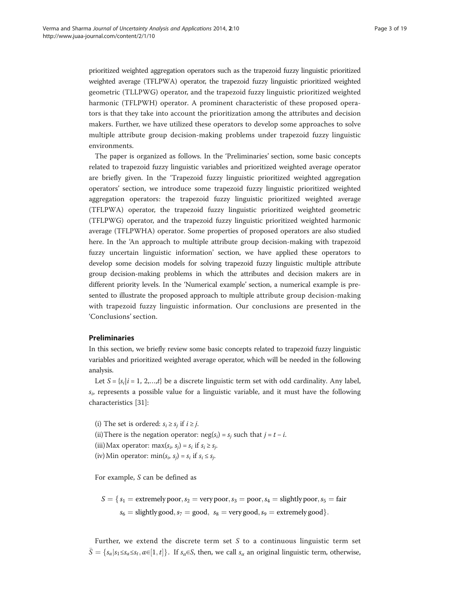prioritized weighted aggregation operators such as the trapezoid fuzzy linguistic prioritized weighted average (TFLPWA) operator, the trapezoid fuzzy linguistic prioritized weighted geometric (TLLPWG) operator, and the trapezoid fuzzy linguistic prioritized weighted harmonic (TFLPWH) operator. A prominent characteristic of these proposed operators is that they take into account the prioritization among the attributes and decision makers. Further, we have utilized these operators to develop some approaches to solve multiple attribute group decision-making problems under trapezoid fuzzy linguistic environments.

The paper is organized as follows. In the 'Preliminaries' section, some basic concepts related to trapezoid fuzzy linguistic variables and prioritized weighted average operator are briefly given. In the 'Trapezoid fuzzy linguistic prioritized weighted aggregation operators' section, we introduce some trapezoid fuzzy linguistic prioritized weighted aggregation operators: the trapezoid fuzzy linguistic prioritized weighted average (TFLPWA) operator, the trapezoid fuzzy linguistic prioritized weighted geometric (TFLPWG) operator, and the trapezoid fuzzy linguistic prioritized weighted harmonic average (TFLPWHA) operator. Some properties of proposed operators are also studied here. In the 'An approach to multiple attribute group decision-making with trapezoid fuzzy uncertain linguistic information' section, we have applied these operators to develop some decision models for solving trapezoid fuzzy linguistic multiple attribute group decision-making problems in which the attributes and decision makers are in different priority levels. In the 'Numerical example' section, a numerical example is presented to illustrate the proposed approach to multiple attribute group decision-making with trapezoid fuzzy linguistic information. Our conclusions are presented in the 'Conclusions' section.

### Preliminaries

In this section, we briefly review some basic concepts related to trapezoid fuzzy linguistic variables and prioritized weighted average operator, which will be needed in the following analysis.

Let  $S = \{s_i | i = 1, 2, \ldots, t\}$  be a discrete linguistic term set with odd cardinality. Any label,  $s_i$ , represents a possible value for a linguistic variable, and it must have the following characteristics [[31\]](#page-18-0):

(i) The set is ordered:  $s_i \geq s_i$  if  $i \geq j$ .

(ii) There is the negation operator:  $neg(s_i) = s_i$  such that  $j = t - i$ .

(iii) Max operator: max $(s_i, s_j) = s_i$  if  $s_i \geq s_i$ .

(iv) Min operator:  $\min(s_i, s_j) = s_i$  if  $s_i \leq s_j$ .

For example, S can be defined as

$$
S = \{ s_1 = \text{extremely poor}, s_2 = \text{very poor}, s_3 = \text{poor}, s_4 = \text{slightly poor}, s_5 = \text{fair}
$$
  

$$
s_6 = \text{slightly good}, s_7 = \text{good}, \ s_8 = \text{very good}, s_9 = \text{extremely good} \}.
$$

Further, we extend the discrete term set  $S$  to a continuous linguistic term set  $\bar{S} = \{s_\alpha | s_1 \le s_\alpha \le s_t, \alpha \in [1, t]\}\.$  If  $s_\alpha \in S$ , then, we call  $s_\alpha$  an original linguistic term, otherwise,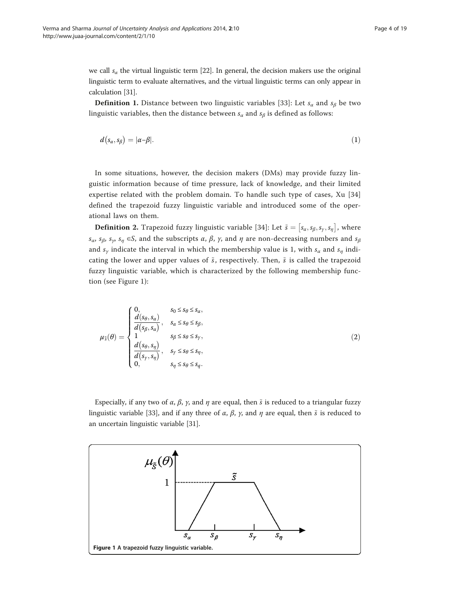we call  $s_\alpha$  the virtual linguistic term [\[22\]](#page-17-0). In general, the decision makers use the original linguistic term to evaluate alternatives, and the virtual linguistic terms can only appear in calculation [[31](#page-18-0)].

**Definition 1.** Distance between two linguistic variables [[33](#page-18-0)]: Let  $s_\alpha$  and  $s_\beta$  be two linguistic variables, then the distance between  $s_\alpha$  and  $s_\beta$  is defined as follows:

$$
d(s_{\alpha}, s_{\beta}) = |\alpha - \beta|.
$$
 (1)

In some situations, however, the decision makers (DMs) may provide fuzzy linguistic information because of time pressure, lack of knowledge, and their limited expertise related with the problem domain. To handle such type of cases, Xu [\[34](#page-18-0)] defined the trapezoid fuzzy linguistic variable and introduced some of the operational laws on them.

**Definition 2.** Trapezoid fuzzy linguistic variable [[34\]](#page-18-0): Let  $\tilde{s} = [s_{\alpha}, s_{\beta}, s_{\gamma}, s_{\eta}]$ , where  $s_\alpha$ ,  $s_\beta$ ,  $s_\gamma$ ,  $s_\gamma$   $\in$ S, and the subscripts  $\alpha$ ,  $\beta$ ,  $\gamma$ , and  $\eta$  are non-decreasing numbers and  $s_\beta$ and  $s<sub>y</sub>$  indicate the interval in which the membership value is 1, with  $s<sub>\alpha</sub>$  and  $s<sub>\eta</sub>$  indicating the lower and upper values of  $\tilde{s}$ , respectively. Then,  $\tilde{s}$  is called the trapezoid fuzzy linguistic variable, which is characterized by the following membership function (see Figure 1):

$$
\mu_{\tilde{s}}(\theta) = \begin{cases}\n0, & s_0 \le s_\theta \le s_\alpha, \\
\frac{d(s_\theta, s_\alpha)}{d(s_\beta, s_\alpha)}, & s_\alpha \le s_\theta \le s_\beta, \\
1 & s_\beta \le s_\theta \le s_\gamma, \\
\frac{d(s_\theta, s_\eta)}{d(s_\gamma, s_\eta)}, & s_\gamma \le s_\theta \le s_\eta, \\
0, & s_\eta \le s_\theta \le s_\alpha.\n\end{cases}
$$
\n(2)

Especially, if any two of  $\alpha$ ,  $\beta$ ,  $\gamma$ , and  $\eta$  are equal, then  $\tilde{s}$  is reduced to a triangular fuzzy linguistic variable [\[33\]](#page-18-0), and if any three of  $\alpha$ ,  $\beta$ ,  $\gamma$ , and  $\eta$  are equal, then  $\tilde{s}$  is reduced to an uncertain linguistic variable [[31\]](#page-18-0).

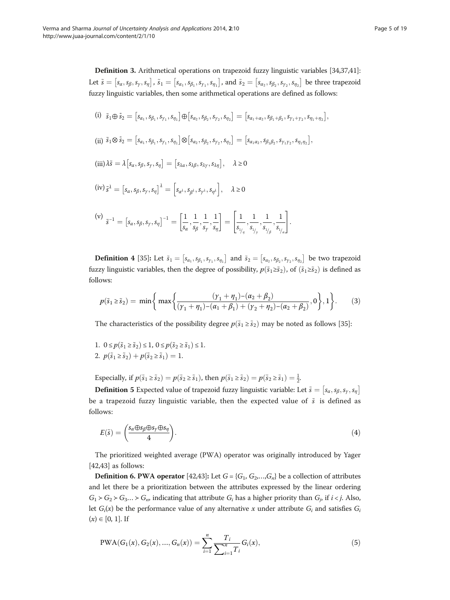Definition 3. Arithmetical operations on trapezoid fuzzy linguistic variables [\[34,37,41](#page-18-0)]: Let  $\tilde{s} = [s_{\alpha}, s_{\beta}, s_{\gamma}, s_{\eta}], \tilde{s}_1 = [s_{\alpha_1}, s_{\beta_1}, s_{\gamma_1}, s_{\eta_1}],$  and  $\tilde{s}_2 = [s_{\alpha_2}, s_{\beta_2}, s_{\gamma_2}, s_{\eta_2}]$  be three trapezoid fuzzy linguistic variables, then some arithmetical operations are defined as follows:

(i) 
$$
\tilde{s}_1 \oplus \tilde{s}_2 = [s_{\alpha_1}, s_{\beta_1}, s_{\gamma_1}, s_{\eta_1}] \oplus [s_{\alpha_2}, s_{\beta_2}, s_{\gamma_2}, s_{\eta_2}] = [s_{\alpha_1 + \alpha_2}, s_{\beta_1 + \beta_2}, s_{\gamma_1 + \gamma_2}, s_{\eta_1 + \eta_2}],
$$

(ii)  $\tilde{s}_1 \otimes \tilde{s}_2 = [s_{\alpha_1}, s_{\beta_1}, s_{\gamma_1}, s_{\eta_1}] \otimes [s_{\alpha_2}, s_{\beta_2}, s_{\gamma_2}, s_{\eta_2}] = [s_{\alpha_1 \alpha_2}, s_{\beta_1 \beta_2}, s_{\gamma_1 \gamma_2}, s_{\eta_1 \eta_2}],$ 

(iii) 
$$
\lambda \tilde{s} = \lambda [s_{\alpha}, s_{\beta}, s_{\gamma}, s_{\eta}] = [s_{\lambda \alpha}, s_{\lambda \beta}, s_{\lambda \gamma}, s_{\lambda \eta}], \quad \lambda \ge 0
$$

$$
(iv) \tilde{s}^{\lambda} = [s_{\alpha}, s_{\beta}, s_{\gamma}, s_{\eta}]^{\lambda} = [s_{\alpha^{\lambda}}, s_{\beta^{\lambda}}, s_{\gamma^{\lambda}}, s_{\eta^{\lambda}}], \quad \lambda \ge 0
$$

$$
\text{(v)}\ \ \tilde{s}^{-1} = \left[s_\alpha, s_\beta, s_\gamma, s_\eta\right]^{-1} = \left[\frac{1}{s_\alpha}, \frac{1}{s_\beta}, \frac{1}{s_\gamma}, \frac{1}{s_\eta}\right] = \left[\frac{1}{s_{1/_\eta}}, \frac{1}{s_{1/_\eta}}, \frac{1}{s_{1/_\beta}}, \frac{1}{s_{1/_\beta}}\right].
$$

**Definition 4** [\[35\]](#page-18-0): Let  $\tilde{s}_1 = [s_{\alpha_1}, s_{\beta_1}, s_{\gamma_1}, s_{\eta_1}]$  and  $\tilde{s}_2 = [s_{\alpha_2}, s_{\beta_2}, s_{\gamma_2}, s_{\eta_2}]$  be two trapezoid fuzzy linguistic variables, then the degree of possibility,  $p(\tilde{s}_1 \ge \tilde{s}_2)$ , of  $(\tilde{s}_1 \ge \tilde{s}_2)$  is defined as follows:

$$
p(\tilde{s}_1 \ge \tilde{s}_2) = \min \bigg\{ \max \bigg\{ \frac{(\gamma_1 + \eta_1) - (\alpha_2 + \beta_2)}{(\gamma_1 + \eta_1) - (\alpha_1 + \beta_1) + (\gamma_2 + \eta_2) - (\alpha_2 + \beta_2)}, 0 \bigg\}, 1 \bigg\}.
$$
 (3)

The characteristics of the possibility degree  $p(\tilde{s}_1 \ge \tilde{s}_2)$  may be noted as follows [[35\]](#page-18-0):

1.  $0 \leq p(\tilde{s}_1 \geq \tilde{s}_2) \leq 1, 0 \leq p(\tilde{s}_2 \geq \tilde{s}_1) \leq 1.$ 2.  $p(\tilde{s}_1 \ge \tilde{s}_2) + p(\tilde{s}_2 \ge \tilde{s}_1) = 1.$ 

Especially, if  $p(\tilde{s}_1 \ge \tilde{s}_2) = p(\tilde{s}_2 \ge \tilde{s}_1)$ , then  $p(\tilde{s}_1 \ge \tilde{s}_2) = p(\tilde{s}_2 \ge \tilde{s}_1) = \frac{1}{2}$ 

**Definition 5** Expected value of trapezoid fuzzy linguistic variable: Let  $\tilde{s} = [s_{\alpha}, s_{\beta}, s_{\gamma}, s_{\eta}]$ be a trapezoid fuzzy linguistic variable, then the expected value of  $\tilde{s}$  is defined as follows:

$$
E(\tilde{s}) = \left(\frac{s_{\alpha} \oplus s_{\beta} \oplus s_{\gamma} \oplus s_{\eta}}{4}\right).
$$
\n(4)

The prioritized weighted average (PWA) operator was originally introduced by Yager [[42,43\]](#page-18-0) as follows:

**Definition 6. PWA operator** [[42,43](#page-18-0)]: Let  $G = \{G_1, G_2,...,G_n\}$  be a collection of attributes and let there be a prioritization between the attributes expressed by the linear ordering  $G_1 > G_2 > G_3... > G_n$ , indicating that attribute  $G_i$  has a higher priority than  $G_j$ , if  $i < j$ . Also, let  $G_i(x)$  be the performance value of any alternative x under attribute  $G_i$  and satisfies  $G_i$  $(x) \in [0, 1]$ . If

$$
PWA(G_1(x), G_2(x), ..., G_n(x)) = \sum_{i=1}^{n} \frac{T_i}{\sum_{i=1}^{n} T_i} G_i(x),
$$
\n(5)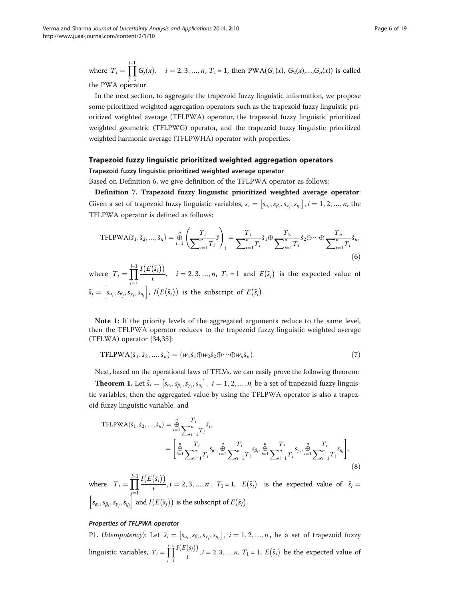where  $T_i = \prod_{i=1}$ i−1 the PWA operator.  $G_j(x)$ ,  $i = 2, 3, ..., n$ ,  $T_1 = 1$ , then PWA( $G_1(x)$ ,  $G_2(x)$ ,..., $G_n(x)$ ) is called

In the next section, to aggregate the trapezoid fuzzy linguistic information, we propose some prioritized weighted aggregation operators such as the trapezoid fuzzy linguistic prioritized weighted average (TFLPWA) operator, the trapezoid fuzzy linguistic prioritized weighted geometric (TFLPWG) operator, and the trapezoid fuzzy linguistic prioritized weighted harmonic average (TFLPWHA) operator with properties.

### Trapezoid fuzzy linguistic prioritized weighted aggregation operators

#### Trapezoid fuzzy linguistic prioritized weighted average operator

Based on Definition 6, we give definition of the TFLPWA operator as follows:

Definition 7. Trapezoid fuzzy linguistic prioritized weighted average operator: Given a set of trapezoid fuzzy linguistic variables,  $\tilde{s}_i = [s_{\alpha_i}, s_{\beta_i}, s_{\gamma_i}, s_{\eta_i}], i = 1, 2, ..., n$ , the TFLPWA operator is defined as follows:

$$
\text{TFLPWA}(\tilde{s}_1, \tilde{s}_2, ..., \tilde{s}_n) = \bigoplus_{i=1}^n \left( \frac{T_i}{\sum_{i=1}^n T_i} \tilde{s} \right)_i = \frac{T_1}{\sum_{i=1}^n T_i} \tilde{s}_1 \oplus \frac{T_2}{\sum_{i=1}^n T_i} \tilde{s}_2 \oplus \dots \oplus \frac{T_n}{\sum_{i=1}^n T_i} \tilde{s}_n,\tag{6}
$$

where  $T_i = \prod_{i=1}$ i−1  $\sum_{j=1}$  $\frac{I(E(\tilde{s}_j))}{t}$ ,  $i = 2, 3, ..., n$ ,  $T_1 = 1$  and  $E(\tilde{s}_j)$  is the expected value of  $\tilde{s}_j = \left[s_{\alpha_j}, s_{\beta_j}, s_{\gamma_j}, s_{\eta_j}\right]$ ,  $I\big(E\big(\tilde{s}_j\big)\big)$  is the subscript of  $E\big(\tilde{s}_j\big)$ .

Note 1: If the priority levels of the aggregated arguments reduce to the same level, then the TFLPWA operator reduces to the trapezoid fuzzy linguistic weighted average (TFLWA) operator [[34,35\]](#page-18-0):

$$
\text{TFLPWA}(\tilde{s}_1, \tilde{s}_2, \dots, \tilde{s}_n) = (w_1 \tilde{s}_1 \oplus w_2 \tilde{s}_2 \oplus \dots \oplus w_n \tilde{s}_n). \tag{7}
$$

Next, based on the operational laws of TFLVs, we can easily prove the following theorem:

**Theorem 1.** Let  $\tilde{s}_i = [s_{\alpha_i}, s_{\beta_i}, s_{\gamma_i}, s_{\eta_i}], i = 1, 2, ..., n$ , be a set of trapezoid fuzzy linguistic variables, then the aggregated value by using the TFLPWA operator is also a trapezoid fuzzy linguistic variable, and

$$
\text{TFLPWA}(\tilde{s}_1, \tilde{s}_2, ..., \tilde{s}_n) = \bigoplus_{i=1}^n \frac{T_i}{\sum_{i=1}^n T_i} \tilde{s}_i,
$$
\n
$$
= \left[ \bigoplus_{i=1}^n \frac{T_i}{\sum_{i=1}^n T_i} s_{\alpha_i}, \bigoplus_{i=1}^n \frac{T_i}{\sum_{i=1}^n T_i} s_{\beta_i}, \bigoplus_{i=1}^n \frac{T_i}{\sum_{i=1}^n T_i} s_{\gamma_i}, \bigoplus_{i=1}^n \frac{T_i}{\sum_{i=1}^n T_i} s_{\gamma_i} \right],
$$
\n(8)

where  $T_i = \prod_{i=1}$ i−1 j=1<br>1  $\frac{I(E(\tilde{s}_j))}{t}$ ,  $i = 2, 3, ..., n$ ,  $T_1 = 1$ ,  $E(\tilde{s}_j)$  is the expected value of  $\tilde{s}_j =$  $\left[s_{\alpha_j}, s_{\beta_j}, s_{\gamma_j}, s_{\eta_j}\right]$  and  $I(E(\tilde{s}_j))$  is the subscript of  $E(\tilde{s}_j)$ .

# Properties of TFLPWA operator

P1. (*Idempotency*): Let  $\tilde{s}_i = [s_{\alpha_i}, s_{\beta_i}, s_{\gamma_i}, s_{\eta_i}], i = 1, 2, ..., n$ , be a set of trapezoid fuzzy linguistic variables,  $T_i = \prod_{j=1}^{i-1}$  $\frac{I(E(\tilde{s}_j))}{t}$ ,  $i = 2, 3, ..., n$ ,  $T_1 = 1$ ,  $E(\tilde{s}_j)$  be the expected value of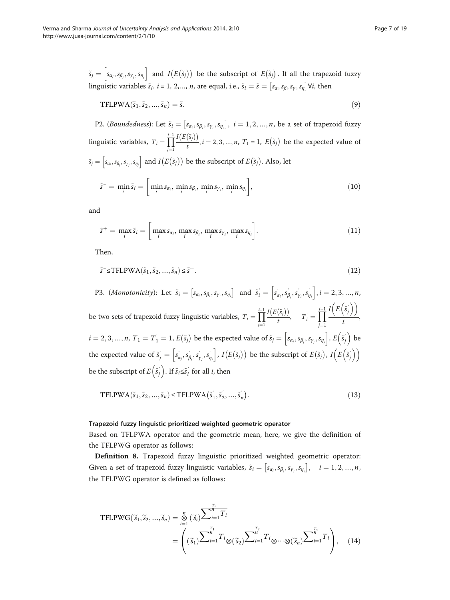$\tilde{s}_j = \left[s_{\alpha_j}, s_{\beta_j}, s_{\gamma_j}, s_{\eta_j}\right]$  and  $I\big(E\big(\tilde{s}_j\big))$  be the subscript of  $E\big(\tilde{s}_j\big)$ . If all the trapezoid fuzzy linguistic variables  $\tilde{s}_i$ ,  $i = 1, 2,..., n$ , are equal, i.e.,  $\tilde{s}_i = \tilde{s} = [s_\alpha, s_\beta, s_\gamma, s_\eta] \forall i$ , then

$$
TFLPWA(\tilde{s}_1, \tilde{s}_2, ..., \tilde{s}_n) = \tilde{s}.
$$
\n(9)

P2. (*Boundedness*): Let  $\tilde{s}_i = [s_{\alpha_i}, s_{\beta_i}, s_{\gamma_i}, s_{\eta_i}], i = 1, 2, ..., n$ , be a set of trapezoid fuzzy linguistic variables,  $T_i = \prod_{j=1}^{i-1}$  $\frac{I(E(\tilde{s}_j))}{t}$ ,  $i = 2, 3, ..., n$ ,  $T_1 = 1$ ,  $E(\tilde{s}_j)$  be the expected value of  $\tilde{s}_j = \left[s_{\alpha_j}, s_{\beta_j}, s_{\gamma_j}, s_{\eta_j}\right]$  and  $I\big(E\big(\tilde{s}_j\big)\big)$  be the subscript of  $E\big(\tilde{s}_j\big)$ . Also, let

$$
\tilde{s}^- = \min_i \tilde{s}_i = \left[ \min_i s_{\alpha_i}, \min_i s_{\beta_i}, \min_i s_{\gamma_i}, \min_i s_{\eta_i} \right],
$$
\n(10)

and

$$
\tilde{s}^+ = \max_i \tilde{s}_i = \left[ \max_i s_{\alpha_i}, \max_i s_{\beta_i}, \max_i s_{\gamma_i}, \max_i s_{\eta_i} \right]. \tag{11}
$$

Then,

$$
\tilde{s}^{-} \le \text{TFLPWA}(\tilde{s}_1, \tilde{s}_2, \dots, \tilde{s}_n) \le \tilde{s}^+.
$$
\n(12)

P3. (*Monotonicity*): Let  $\tilde{s}_i = [s_{\alpha_i}, s_{\beta_i}, s_{\gamma_i}, s_{\eta_i}]$  and  $\tilde{s}'_i = [s'_{\alpha_i}, s'_{\beta_i}, s'_{\gamma_i}, s'_{\eta_i}], i = 2, 3, ..., n$ , be two sets of trapezoid fuzzy linguistic variables,  $T_i = \prod_{j=1}^{i-1}$  $\frac{I(E(\tilde{s}_j))}{t}, \quad T_i = \prod_{i=1}^{i-1}$ i−1  $\overline{j=1}$  $I(E(\tilde{s}_i))$  $\frac{x^{\prime}/x}{t}$  $i = 2, 3, ..., n$ ,  $T_1 = T_1^{'} = 1$ ,  $E(\tilde{s}_j)$  be the expected value of  $\tilde{s}_j = \left[s_{\alpha_j}, s_{\beta_j}, s_{\gamma_j}, s_{\eta_j}\right]$ ,  $E\left(\tilde{s}_j^{'}\right)$  be the expected value of  $\tilde{s}_j = \left[ s_{\alpha_j}^*, s_{\beta_j}^*, s_{\eta_j}^*, s_{\eta_j}^{\dagger} \right]$ ,  $I(E(\tilde{s}_j))$  be the subscript of  $E(\tilde{s}_j)$ ,  $I(E(\tilde{s}_j))$ be the subscript of  $E\big(\tilde{s}^{\;\prime}_i\big)$ . If  $\tilde{s}_i{\leq}\tilde{s}^{\;\prime}_i$  for all  $i$ , then

$$
\text{TFLPWA}(\tilde{s}_1, \tilde{s}_2, \dots, \tilde{s}_n) \le \text{TFLPWA}(\tilde{s}_1, \tilde{s}_2, \dots, \tilde{s}_n). \tag{13}
$$

#### Trapezoid fuzzy linguistic prioritized weighted geometric operator

Based on TFLPWA operator and the geometric mean, here, we give the definition of the TFLPWG operator as follows:

Definition 8. Trapezoid fuzzy linguistic prioritized weighted geometric operator: Given a set of trapezoid fuzzy linguistic variables,  $\tilde{s}_i = [s_{\alpha_i}, s_{\beta_i}, s_{\gamma_i}, s_{\eta_i}], \quad i = 1, 2, ..., n$ the TFLPWG operator is defined as follows:

$$
\text{TFLPWG}(\widetilde{s}_1, \widetilde{s}_2, ..., \widetilde{s}_n) = \mathop{\otimes}\limits_{i=1}^n (\widetilde{s}_i) \frac{\sum_{i=1}^{T_i} T_i}{\sum_{i=1}^n T_i} \\
= \left( (\widetilde{s}_1) \frac{\sum_{i=1}^{T_1} T_i}{\sum_{i=1}^n T_i} \otimes (\widetilde{s}_2) \frac{\sum_{i=1}^{T_2} T_i}{\sum_{i=1}^n T_i} \right), \quad (14)
$$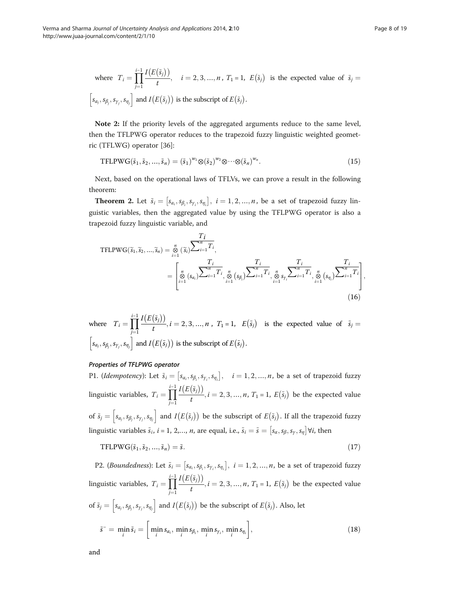where 
$$
T_i = \prod_{j=1}^{i-1} \frac{I(E(\tilde{s}_j))}{t}
$$
,  $i = 2, 3, ..., n$ ,  $T_1 = 1$ ,  $E(\tilde{s}_j)$  is the expected value of  $\tilde{s}_j = [s_{\alpha_j}, s_{\beta_j}, s_{\gamma_j}, s_{\eta_j}]$  and  $I(E(\tilde{s}_j))$  is the subscript of  $E(\tilde{s}_j)$ .

Note 2: If the priority levels of the aggregated arguments reduce to the same level, then the TFLPWG operator reduces to the trapezoid fuzzy linguistic weighted geometric (TFLWG) operator [[36\]](#page-18-0):

$$
\text{TFLPWG}(\tilde{s}_1, \tilde{s}_2, ..., \tilde{s}_n) = (\tilde{s}_1)^{w_1} \otimes (\tilde{s}_2)^{w_2} \otimes \cdots \otimes (\tilde{s}_n)^{w_n}.
$$
\n
$$
(15)
$$

Next, based on the operational laws of TFLVs, we can prove a result in the following theorem:

**Theorem 2.** Let  $\tilde{s}_i = [s_{\alpha_i}, s_{\beta_i}, s_{\gamma_i}, s_{\eta_i}], i = 1, 2, ..., n$ , be a set of trapezoid fuzzy linguistic variables, then the aggregated value by using the TFLPWG operator is also a trapezoid fuzzy linguistic variable, and

$$
\text{TFLPWG}(\widetilde{s}_1, \widetilde{s}_2, ..., \widetilde{s}_n) = \sum_{i=1}^n (\widetilde{s}_i) \overline{\sum_{i=1}^n T_i},
$$
\n
$$
= \left[ \sum_{i=1}^n (s_{\alpha_i}) \overline{\sum_{i=1}^n T_i}, \sum_{i=1}^n (s_{\beta_i}) \overline{\sum_{i=1}^n T_i}, \sum_{i=1}^n s_{\gamma_i} \overline{\sum_{i=1}^n T_i}, \sum_{i=1}^n (s_{\eta_i}) \overline{\sum_{i=1}^n T_i} \right],
$$
\n(16)

where  $T_i = \prod_{i=1}$ i−1 j=1<br>1  $\frac{I(E(\tilde{s}_j))}{t}$ ,  $i = 2, 3, ..., n$ ,  $T_1 = 1$ ,  $E(\tilde{s}_j)$  is the expected value of  $\tilde{s}_j =$  $\left[s_{\alpha_j}, s_{\beta_j}, s_{\gamma_j}, s_{\eta_j}\right]$  and  $I(E(\tilde{s}_j))$  is the subscript of  $E(\tilde{s}_j)$ .

#### Properties of TFLPWG operator

P1. (*Idempotency*): Let  $\tilde{s}_i = [s_{\alpha_i}, s_{\beta_i}, s_{\gamma_i}, s_{\eta_i}], \quad i = 1, 2, ..., n$ , be a set of trapezoid fuzzy linguistic variables,  $T_i = \prod_{i=1}$ i−1  $\overline{j=1}$  $\frac{I(E(\tilde{s}_j))}{t}$ ,  $i = 2, 3, ..., n$ ,  $T_1 = 1$ ,  $E(\tilde{s}_j)$  be the expected value of  $\tilde{s}_j = \left[s_{\alpha_j}, s_{\beta_j}, s_{\gamma_j}, s_{\eta_j}\right]$  and  $I\big(E\big(\tilde{s}_j\big)\big)$  be the subscript of  $E\big(\tilde{s}_j\big)$ . If all the trapezoid fuzzy linguistic variables  $\tilde{s}_i$ ,  $i = 1, 2,..., n$ , are equal, i.e.,  $\tilde{s}_i = \tilde{s} = [s_\alpha, s_\beta, s_\gamma, s_\eta] \forall i$ , then

$$
TFLPWG(\tilde{s}_1, \tilde{s}_2, ..., \tilde{s}_n) = \tilde{s}.
$$
\n(17)

P2. (*Boundedness*): Let  $\tilde{s}_i = [s_{\alpha_i}, s_{\beta_i}, s_{\gamma_i}, s_{\eta_i}], i = 1, 2, ..., n$ , be a set of trapezoid fuzzy linguistic variables,  $T_i = \prod_{i=1}$ i−1  $\sum_{j=1}$  $\frac{I(E(\tilde{s}_j))}{t}$ ,  $i = 2, 3, ..., n$ ,  $T_1 = 1$ ,  $E(\tilde{s}_j)$  be the expected value of  $\tilde{s}_j = \left[s_{\alpha_j}, s_{\beta_j}, s_{\gamma_j}, s_{\eta_j}\right]$  and  $I(E(\tilde{s}_j))$  be the subscript of  $E(\tilde{s}_j)$ . Also, let  $\tilde{s}^-$  =  $\min_i \tilde{s}_i = \left[ \min_i s_{\alpha_i}, \min_i s_{\beta_i}, \min_i s_{\gamma_i}, \min_i s_{\eta_i} \right],$ (18)

and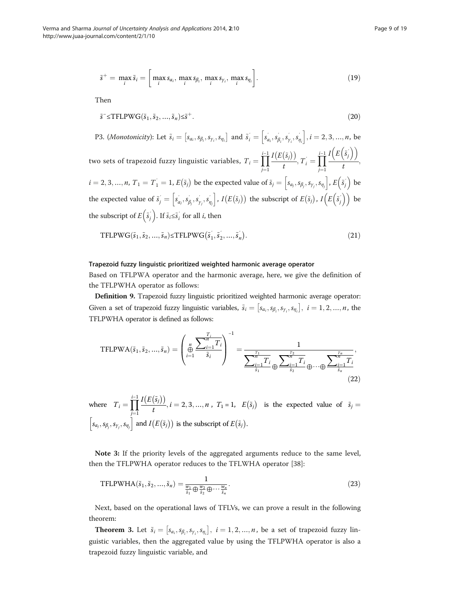$$
\tilde{s}^+ = \max_i \tilde{s}_i = \left[ \max_i s_{\alpha_i}, \max_i s_{\beta_i}, \max_i s_{\gamma_i}, \max_i s_{\eta_i} \right]. \tag{19}
$$

Then

$$
\tilde{s}^{-} \leq \text{TFLPWG}(\tilde{s}_1, \tilde{s}_2, ..., \tilde{s}_n) \leq \tilde{s}^{+}.
$$
\n
$$
(20)
$$

P3. (*Monotonicity*): Let  $\tilde{s}_i = [s_{\alpha_i}, s_{\beta_i}, s_{\gamma_i}, s_{\eta_i}]$  and  $\tilde{s}_i = [s_{\alpha_i}, s_{\beta_i}, s_{\gamma_i}, s_{\eta_i}]$ ,  $i = 2, 3, ..., n$ , be two sets of trapezoid fuzzy linguistic variables,  $T_i = \prod_{i=1}^n$ i−1  $\sum_{j=1}$  $\frac{I(E(\tilde{s}_j))}{t}, T_i = \prod_{i=1}^{i-1}$ i−1  $\overline{j=1}$  $I(E(\tilde{s}_i))$  $\frac{(t')}{t}$  $i = 2, 3, ..., n$ ,  $T_1 = T_1^{'} = 1$ ,  $E(\tilde{s}_j)$  be the expected value of  $\tilde{s}_j = \left[s_{\alpha_j}, s_{\beta_j}, s_{\gamma_j}, s_{\eta_j}\right]$ ,  $E\left(\tilde{s}_j^{'}\right)$  be the expected value of  $\tilde{s}_j = \left[ s_{\alpha_j}, s_{\beta_j}, s_{\gamma_j}, s_{\eta_j} \right]$ ,  $I(E(\tilde{s}_j))$  the subscript of  $E(\tilde{s}_j)$ ,  $I(E(\tilde{s}_j))$  be the subscript of  $E\!\left(\tilde{s}_i^{'}\right)$ . If  $\tilde{s}_i\leq\tilde{s}_i^{'}$  for all  $i$ , then

$$
\text{TFLPWG}(\tilde{s}_1, \tilde{s}_2, \dots, \tilde{s}_n) \le \text{TFLPWG}(\tilde{s}_1, \tilde{s}_2, \dots, \tilde{s}_n). \tag{21}
$$

#### Trapezoid fuzzy linguistic prioritized weighted harmonic average operator

Based on TFLPWA operator and the harmonic average, here, we give the definition of the TFLPWHA operator as follows:

Definition 9. Trapezoid fuzzy linguistic prioritized weighted harmonic average operator: Given a set of trapezoid fuzzy linguistic variables,  $\tilde{s}_i = [s_{\alpha_i}, s_{\beta_i}, s_{\gamma_i}, s_{\eta_i}]$ ,  $i = 1, 2, ..., n$ , the TFLPWHA operator is defined as follows:

$$
\text{TFLPWA}(\tilde{s}_1, \tilde{s}_2, ..., \tilde{s}_n) = \left(\bigoplus_{i=1}^n \frac{\sum_{i=1}^T T_i}{\tilde{s}_i}\right)^{-1} = \frac{1}{\sum_{\substack{i=1 \ \tilde{s}_1}}^n T_i} \frac{1}{\sum_{\substack{i=1 \ \tilde{s}_2}}^n T_i} \frac{1}{\sum_{\substack{i=1 \ \tilde{s}_2}}^n T_i} \cdots \bigoplus_{\substack{\tilde{s}_n}}^n \frac{T_n}{\tilde{s}_n}} \frac{T_n}{\tilde{s}_n}.
$$
\n(22)

where  $T_i = \prod_{i=1}$  $\prod_{i=1}^{i-1} \frac{I(E(\tilde{s}_i))}{t}, i = 2, 3, ..., n$ ,  $T_1 = 1$ ,  $E(\tilde{s}_j)$  is the expected value of  $\tilde{s}_j =$  $\overline{j=1}$  $\left[s_{\alpha_j}, s_{\beta_j}, s_{\gamma_j}, s_{\eta_j}\right]$  and  $I(E(\tilde{s}_j))$  is the subscript of  $E(\tilde{s}_j)$ .

Note 3: If the priority levels of the aggregated arguments reduce to the same level, then the TFLPWHA operator reduces to the TFLWHA operator [[38](#page-18-0)]:

$$
\text{TFLPWHA}(\tilde{s}_1, \tilde{s}_2, \dots, \tilde{s}_n) = \frac{1}{\frac{w_1}{\tilde{s}_1} \bigoplus \frac{w_2}{\tilde{s}_2} \bigoplus \dots \frac{w_n}{\tilde{s}_n}}.
$$
\n(23)

Next, based on the operational laws of TFLVs, we can prove a result in the following theorem:

**Theorem 3.** Let  $\tilde{s}_i = [s_{\alpha_i}, s_{\beta_i}, s_{\gamma_i}, s_{\eta_i}], i = 1, 2, ..., n$ , be a set of trapezoid fuzzy linguistic variables, then the aggregated value by using the TFLPWHA operator is also a trapezoid fuzzy linguistic variable, and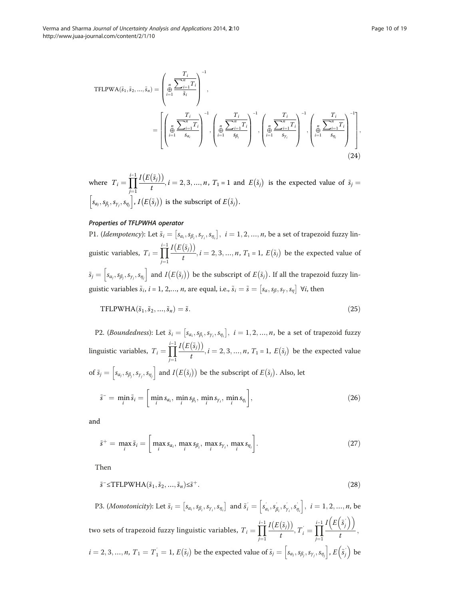$$
\text{TFLPWA}(\tilde{s}_1, \tilde{s}_2, ..., \tilde{s}_n) = \left(\bigoplus_{i=1}^n \frac{\overline{\sum_{i=1}^n T_i}}{\tilde{s}_i}\right)^{-1},
$$
\n
$$
= \left[\left(\bigoplus_{i=1}^n \frac{\overline{\sum_{i=1}^n T_i}}{\tilde{s}_{\alpha_i}}\right)^{-1}, \left(\bigoplus_{i=1}^n \frac{\overline{\sum_{i=1}^n T_i}}{\tilde{s}_{\beta_i}}\right)^{-1}, \left(\bigoplus_{i=1}^n \frac{\overline{\sum_{i=1}^n T_i}}{\tilde{s}_{\beta_i}}\right)^{-1}, \left(\bigoplus_{i=1}^n \frac{\overline{\sum_{i=1}^n T_i}}{\tilde{s}_{\gamma_i}}\right)^{-1}, \left(\bigoplus_{i=1}^n \frac{\overline{\sum_{i=1}^n T_i}}{\tilde{s}_{\gamma_i}}\right)^{-1}\right],
$$
\n(24)

where  $T_i = \prod_{i=1}$  $\prod_{i=1}^{i-1} \frac{I(E(\tilde{s}_j))}{t}$ ,  $i = 2, 3, ..., n$ ,  $T_1 = 1$  and  $E(\tilde{s}_j)$  is the expected value of  $\tilde{s}_j =$  $\overline{t}$  $\overline{t}$  $\left[s_{\alpha_j}, s_{\beta_j}, s_{\gamma_j}, s_{\eta_j}\right]$ ,  $I(E(\tilde{s}_j))$  is the subscript of  $E(\tilde{s}_j)$ .

#### Properties of TFLPWHA operator

P1. (Idempotency): Let  $\tilde{s}_i = [s_{\alpha_i}, s_{\beta_i}, s_{\gamma_i}, s_{\eta_i}]$ ,  $i = 1, 2, ..., n$ , be a set of trapezoid fuzzy linguistic variables,  $T_i = \prod_{i=1}$ i−1  $\sum_{j=1}$  $\frac{I(E(\tilde{s}_j))}{t}$ ,  $i = 2, 3, ..., n$ ,  $T_1 = 1$ ,  $E(\tilde{s}_j)$  be the expected value of  $\tilde{s}_j = \left[s_{\alpha_j}, s_{\beta_j}, s_{\gamma_j}, s_{\eta_j}\right]$  and  $I\big(E(\tilde{s}_j)\big)$  be the subscript of  $E(\tilde{s}_j)$ . If all the trapezoid fuzzy linguistic variables  $\tilde{s}_i$ ,  $i = 1, 2,..., n$ , are equal, i.e.,  $\tilde{s}_i = \tilde{s} = [s_\alpha, s_\beta, s_\gamma, s_\eta]$   $\forall i$ , then

$$
TFLPWHA(\tilde{s}_1, \tilde{s}_2, ..., \tilde{s}_n) = \tilde{s}.
$$
\n(25)

P2. (*Boundedness*): Let  $\tilde{s}_i = [s_{\alpha_i}, s_{\beta_i}, s_{\gamma_i}, s_{\eta_i}]$ ,  $i = 1, 2, ..., n$ , be a set of trapezoid fuzzy linguistic variables,  $T_i = \prod_{i=1}$ i−1  $\overline{j=1}$  $\frac{I(E(\tilde{s}_j))}{t}$ ,  $i = 2, 3, ..., n$ ,  $T_1 = 1$ ,  $E(\tilde{s}_j)$  be the expected value of  $\tilde{s}_j = \left[s_{\alpha_j}, s_{\beta_j}, s_{\gamma_j}, s_{\eta_j}\right]$  and  $I(E(\tilde{s}_j))$  be the subscript of  $E(\tilde{s}_j)$ . Also, let −

$$
\tilde{s}^- = \min_i \tilde{s}_i = \left[ \min_i s_{\alpha_i}, \min_i s_{\beta_i}, \min_i s_{\gamma_i}, \min_i s_{\eta_i} \right],
$$
\n(26)

and

$$
\tilde{s}^+ = \max_i \tilde{s}_i = \left[ \max_i s_{\alpha_i}, \max_i s_{\beta_i}, \max_i s_{\gamma_i}, \max_i s_{\eta_i} \right]. \tag{27}
$$

Then

$$
\tilde{s}^{-} \leq \text{TFLPWHA}(\tilde{s}_1, \tilde{s}_2, ..., \tilde{s}_n) \leq \tilde{s}^{+}.
$$
\n(28)

P3. (*Monotonicity*): Let  $\tilde{s}_i = [s_{\alpha_i}, s_{\beta_i}, s_{\gamma_i}, s_{\eta_i}]$  and  $\tilde{s}'_i = [s'_{\alpha_i}, s'_{\beta_i}, s'_{\gamma_i}, s'_{\eta_i}]$ ,  $i = 1, 2, ..., n$ , be two sets of trapezoid fuzzy linguistic variables,  $T_i = \prod_{i=1}^n$ i−1  $\sum_{j=1}$  $\frac{I(E(\tilde{s}_j))}{t}, T_i = \prod_{i=1}^{i-1}$ i−1  $\sum_{j=1}$  $I(E(\tilde{s}_i))$  $\frac{(t')}{t}$  $i=2,3,...,n$ ,  $T_1=T_1^{'}=1$ ,  $E(\tilde{s}_j)$  be the expected value of  $\tilde{s}_j=\left[s_{\alpha_j},s_{\beta_j},s_{\gamma_j},s_{\eta_j}\right]$ ,  $E\left(\tilde{s}_j^{'}\right)$  be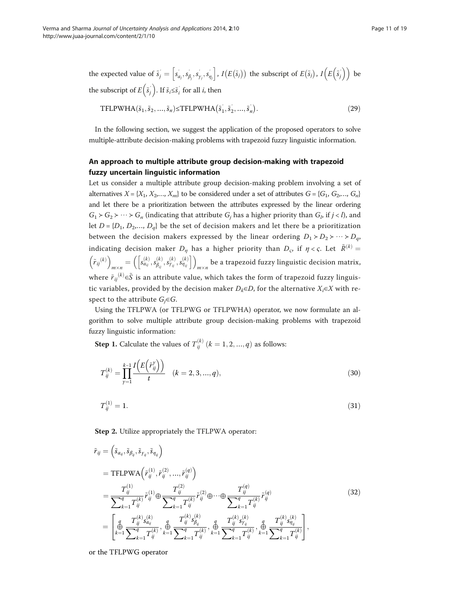the expected value of 
$$
\tilde{s}_j = [s'_{\alpha_j}, s'_{\beta_j}, s'_{\gamma_j}, s'_{\eta_j}]
$$
,  $I(E(\tilde{s}_j))$  the subscript of  $E(\tilde{s}_j)$ ,  $I(E(\tilde{s}_j'))$  be the subscript of  $E(\tilde{s}_j')$ . If  $\tilde{s}_i \leq \tilde{s}_i'$  for all *i*, then

$$
\text{TFLPWHA}(\tilde{s}_1, \tilde{s}_2, \dots, \tilde{s}_n) \le \text{TFLPWHA}(\tilde{s}_1, \tilde{s}_2, \dots, \tilde{s}_n). \tag{29}
$$

In the following section, we suggest the application of the proposed operators to solve multiple-attribute decision-making problems with trapezoid fuzzy linguistic information.

# An approach to multiple attribute group decision-making with trapezoid fuzzy uncertain linguistic information

Let us consider a multiple attribute group decision-making problem involving a set of alternatives  $X = \{X_1, X_2, ..., X_m\}$  to be considered under a set of attributes  $G = \{G_1, G_2, ..., G_n\}$ and let there be a prioritization between the attributes expressed by the linear ordering  $G_1 \succ G_2 \succ \cdots \succ G_n$  (indicating that attribute  $G_i$  has a higher priority than  $G_i$ , if  $j < l$ ), and let  $D = \{D_1, D_2, ..., D_q\}$  be the set of decision makers and let there be a prioritization between the decision makers expressed by the linear ordering  $D_1 \succ D_2 \succ \cdots \succ D_q$ , indicating decision maker  $D_{\eta}$  has a higher priority than  $D_{\varphi}$  if  $\eta < \varsigma$ . Let  $\tilde{R}^{(k)} =$  $(\tilde{r}_{ij}^{(k)})_{m\times n} = \left( \left[ s_{\alpha_{ij}}^{(k)}, s_{\beta_{ij}}^{(k)}, s_{\gamma_{ij}}^{(k)} \right], s_{\eta_{ij}}^{(k)} \right]_{m\times n}$  be a trapezoid fuzzy linguistic decision matrix, where  ${\tilde r}_{ij}^{(k)}{\in}{\tilde S}$  is an attribute value, which takes the form of trapezoid fuzzy linguistic variables, provided by the decision maker  $D_k \in D$ , for the alternative  $X_i \in X$  with respect to the attribute  $G_i \in G$ .

Using the TFLPWA (or TFLPWG or TFLPWHA) operator, we now formulate an algorithm to solve multiple attribute group decision-making problems with trapezoid fuzzy linguistic information:

**Step 1.** Calculate the values of  $T_{ij}^{(k)}$   $(k = 1, 2, ..., q)$  as follows:

$$
T_{ij}^{(k)} = \prod_{\gamma=1}^{k-1} \frac{I\left(E\left(\tilde{r}_{ij}^{\gamma}\right)\right)}{t} \quad (k = 2, 3, ..., q), \tag{30}
$$

$$
T_{ij}^{(1)} = 1.\t\t(31)
$$

Step 2. Utilize appropriately the TFLPWA operator:

$$
\tilde{r}_{ij} = (\tilde{s}_{\alpha_{ij}}, \tilde{s}_{\beta_{ij}}, \tilde{s}_{\gamma_{ij}}, \tilde{s}_{\eta_{ij}})
$$
\n
$$
= TFLPWA\left(\tilde{r}_{ij}^{(1)}, \tilde{r}_{ij}^{(2)}, ..., \tilde{r}_{ij}^{(q)}\right)
$$
\n
$$
= \frac{T_{ij}^{(1)}}{\sum_{k=1}^{q} T_{ij}^{(k)}} \tilde{r}_{ij}^{(1)} \oplus \frac{T_{ij}^{(2)}}{\sum_{k=1}^{q} T_{ij}^{(k)}} \tilde{r}_{ij}^{(2)} \oplus \cdots \oplus \frac{T_{ij}^{(q)}}{\sum_{k=1}^{q} T_{ij}^{(k)}} \tilde{r}_{ij}^{(q)}
$$
\n
$$
= \begin{bmatrix} q & T_{ij}^{(k)} s_{\alpha_{ij}}^{(k)} \\ \oplus & T_{ij}^{(k)} s_{\alpha_{ij}}^{(k)} \\ k=1 \end{bmatrix} \frac{T_{ij}^{(k)} s_{\alpha_{ij}}^{(k)}}{\sum_{k=1}^{q} T_{ij}^{(k)}} \begin{bmatrix} q & T_{ij}^{(k)} s_{\gamma_{ij}}^{(k)} \\ \oplus & T_{ij}^{(k)} s_{\gamma_{ij}}^{(k)} \\ \oplus & T_{ij}^{(k)} s_{\gamma_{ij}}^{(k)} \end{bmatrix},
$$
\n
$$
(32)
$$

or the TFLPWG operator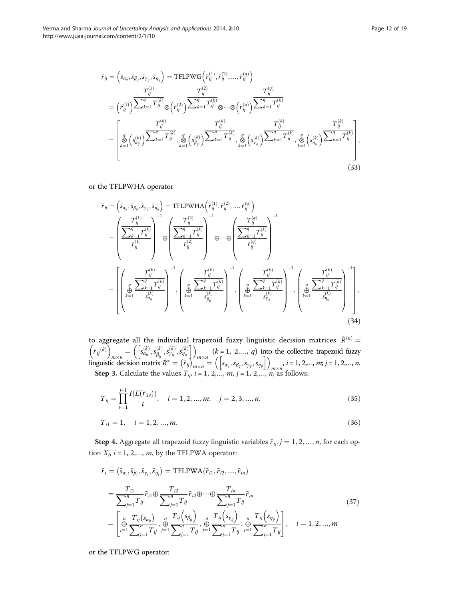$$
\tilde{r}_{ij} = (\tilde{s}_{\alpha_{ij}}, \tilde{s}_{\beta_{ij}}, \tilde{s}_{\gamma_{ij}}, \tilde{s}_{\eta_{ij}}) = \text{TFLPWG}\Big(\tilde{r}_{ij}^{(1)}, \tilde{r}_{ij}^{(2)}, ..., \tilde{r}_{ij}^{(q)}\Big) \n= (\tilde{r}_{ij}^{(1)}) \frac{T_{ij}^{(1)}}{\sum_{k=1}^{q} T_{ij}^{(k)}} \otimes (\tilde{r}_{ij}^{(2)}) \frac{T_{ij}^{(2)}}{\sum_{k=1}^{q} T_{ij}^{(k)}} \otimes ... \otimes (\tilde{r}_{ij}^{(q)}) \frac{T_{ij}^{(q)}}{\sum_{k=1}^{q} T_{ij}^{(k)}} \n= \begin{bmatrix} T_{ij}^{(k)} \\ \frac{q}{\infty} \left( s_{\alpha_{ij}}^{(k)} \right) \frac{T_{ij}^{(k)}}{\sum_{k=1}^{q} T_{ij}^{(k)}} \\ \frac{q}{\infty} \left( s_{\alpha_{ij}}^{(k)} \right) \frac{T_{ij}^{(k)}}{\sum_{k=1}^{q} T_{ij}^{(k)}} \otimes ... \otimes (\tilde{r}_{ij}^{(k)}) \frac{T_{ij}^{(k)}}{\sum_{k=1}^{q} T_{ij}^{(k)}} \\ \frac{q}{\infty} \left( s_{\gamma_{ij}}^{(k)} \right) \frac{T_{ij}^{(k)}}{\sum_{k=1}^{q} T_{ij}^{(k)}} \end{bmatrix},
$$
\n(33)

or the TFLPWHA operator

$$
\tilde{r}_{ij} = (\tilde{s}_{\alpha_{ij}}, \tilde{s}_{\beta_{ij}}, \tilde{s}_{\gamma_{ij}}, \tilde{s}_{\eta_{ij}}) = \text{TELPWHA}\left(\tilde{r}_{ij}^{(1)}, \tilde{r}_{ij}^{(2)}, ..., \tilde{r}_{ij}^{(q)}\right) \n= \left(\frac{T_{ij}^{(1)}}{\sum_{k=1}^{q} T_{ij}^{(k)}}\right)^{-1} \oplus \left(\frac{T_{ij}^{(2)}}{\sum_{k=1}^{q} T_{ij}^{(k)}}\right)^{-1} \oplus \cdots \oplus \left(\frac{T_{ij}^{(q)}}{\sum_{k=1}^{q} T_{ij}^{(k)}}\right)^{-1} \n= \left(\frac{T_{ij}^{(k)}}{\oplus \sum_{k=1}^{q} T_{ij}^{(k)}}\right)^{-1}, \left(\frac{T_{ij}^{(k)}}{\oplus \sum_{k=1}^{q} T_{ij}^{(k)}}\right)^{-1}, \left(\frac{T_{ij}^{(k)}}{\oplus \sum_{k=1}^{q} T_{ij}^{(k)}}\right)^{-1}, \left(\frac{T_{ij}^{(k)}}{\oplus \sum_{k=1}^{q} T_{ij}^{(k)}}\right)^{-1}, \left(\frac{T_{ij}^{(k)}}{\oplus \sum_{k=1}^{q} T_{ij}^{(k)}}\right)^{-1}, \left(\frac{T_{ij}^{(k)}}{\oplus \sum_{k=1}^{q} T_{ij}^{(k)}}\right)^{-1}, \left(\frac{T_{ij}^{(k)}}{\oplus \sum_{k=1}^{q} T_{ij}^{(k)}}\right)^{-1}, \left(\frac{T_{ij}^{(k)}}{\oplus \sum_{k=1}^{q} T_{ij}^{(k)}}\right)^{-1}, \left(\frac{T_{ij}^{(k)}}{\oplus \sum_{k=1}^{q} T_{ij}^{(k)}}\right)^{-1}, \left(\frac{T_{ij}^{(k)}}{\oplus \sum_{k=1}^{q} T_{ij}^{(k)}}\right)^{-1}, \left(\frac{T_{ij}^{(k)}}{\oplus \sum_{k=1}^{q} T_{ij}^{(k)}}\right)^{-1}, \left(\frac{T_{ij}^{(k)}}{\oplus \sum_{k=1}^{q} T_{ij}^{(k)}}\right)^{-1}, \left(\frac{T_{ij}^{(k)}}{\oplus \sum_{k=1}^{q} T_{ij}^{(k)}}\right)^{-1}, \left(\frac{T_{ij}^{(k)}}{\oplus \sum_{k=1}^{
$$

to aggregate all the individual trapezoid fuzzy linguistic decision matrices  $\tilde{R}^{(k)} = \left(\tilde{r}_{ij}^{(k)}\right)_{m \times n} = \left(\begin{bmatrix} s_{\alpha_{ij}}, s_{\beta_{ij}}, s_{\gamma_{ij}}^{(k)}, s_{\eta_{ij}}^{(k)} \end{bmatrix}\right)_{m \times n}$  ( $k = 1, 2, ..., q$ ) into the collective trapezoid fuz linguistic decision matrix  $\tilde{R}^* = (\tilde{r}_{ij})_{m \times n}^{N \times n} = ([s_{\alpha_{ij}}, s_{\beta_{ij}}, s_{\gamma_{ij}}, s_{\eta_{ij}}])_{m \times n}$ <br>Step 3. Calculate the values  $T_{ij}$ ,  $i = 1, 2, ..., m, i = 1, 2, ..., n$ , as ,  $i = 1, 2, \ldots, m; j = 1, 2, \ldots, n$ . **Step 3.** Calculate the values  $T_{ij}$ ,  $i = 1, 2,..., m$ ,  $j = 1, 2,..., n$ , as follows:

$$
T_{ij} = \prod_{\nu=1}^{j-1} \frac{I(E(\tilde{r}_{1\nu}))}{t}, \quad i = 1, 2, ..., m; \quad j = 2, 3, ..., n,
$$
 (35)

$$
T_{i1} = 1, \quad i = 1, 2, ..., m. \tag{36}
$$

**Step 4.** Aggregate all trapezoid fuzzy linguistic variables  $\tilde{r}_{ij}$ ,  $j = 1, 2, ..., n$ , for each option  $X_i$ ,  $i = 1, 2,..., m$ , by the TFLPWA operator:

$$
\tilde{r}_{i} = (\tilde{s}_{\alpha_{i}}, \tilde{s}_{\beta_{i}}, \tilde{s}_{\gamma_{i}}, \tilde{s}_{\eta_{i}}) = \text{TFLPWA}(\tilde{r}_{i1}, \tilde{r}_{i2}, ..., \tilde{r}_{in})
$$
\n
$$
= \frac{T_{i1}}{\sum_{j=1}^{n} T_{ij}} \tilde{r}_{i1} \oplus \frac{T_{i2}}{\sum_{j=1}^{n} T_{ij}} \tilde{r}_{i2} \oplus \cdots \oplus \frac{T_{in}}{\sum_{j=1}^{n} T_{ij}} \tilde{r}_{in}
$$
\n
$$
= \left[ \bigoplus_{j=1}^{n} \frac{T_{ij}(s_{\alpha_{ij}})}{\sum_{j=1}^{n} T_{ij}} \right] \oplus \frac{T_{ij}(s_{\beta_{ij}})}{\sum_{j=1}^{n} T_{ij}} \oplus \frac{T_{ij}(s_{\gamma_{ij}})}{\sum_{j=1}^{n} T_{ij}} \oplus \frac{T_{ij}(s_{\eta_{ij}})}{\sum_{j=1}^{n} T_{ij}} \right], \quad i = 1, 2, ..., m
$$
\n(37)

or the TFLPWG operator: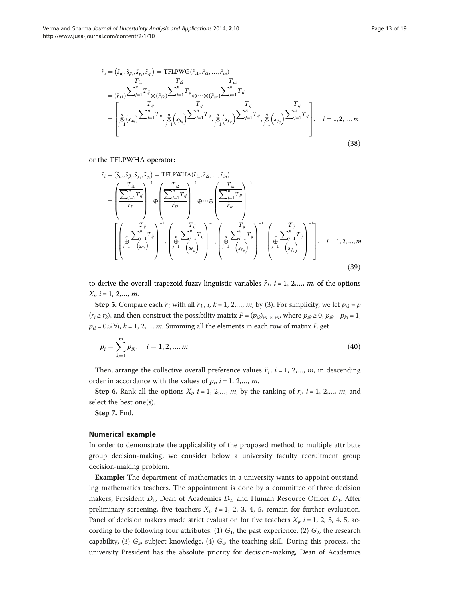$$
\tilde{r}_{i} = (\tilde{s}_{\alpha_{i}}, \tilde{s}_{\beta_{i}}, \tilde{s}_{\gamma_{i}}, \tilde{s}_{\eta_{i}}) = \text{TFLPWG}(\tilde{r}_{i1}, \tilde{r}_{i2}, ..., \tilde{r}_{in})
$$
\n
$$
= (\tilde{r}_{i1}) \frac{T_{i1}}{\sum_{j=1}^{n} T_{ij}} \otimes (\tilde{r}_{i2}) \frac{T_{i2}}{\sum_{j=1}^{n} T_{ij}} \otimes \cdots \otimes (\tilde{r}_{in}) \frac{T_{in}}{\sum_{j=1}^{n} T_{ij}} \\
= \left[ \sum_{j=1}^{n} (s_{\alpha_{ij}}) \frac{T_{ij}}{\sum_{j=1}^{n} T_{ij}} \otimes \sum_{j=1}^{n} T_{ij} \otimes \sum_{j=1}^{n} T_{ij} \otimes \sum_{j=1}^{n} T_{ij} \otimes \sum_{j=1}^{n} T_{ij} \otimes \sum_{j=1}^{n} T_{ij} \otimes \sum_{j=1}^{n} T_{ij} \otimes \sum_{j=1}^{n} T_{ij} \otimes \sum_{j=1}^{n} T_{ij} \otimes \sum_{j=1}^{n} T_{ij} \right], \quad i = 1, 2, ..., m
$$
\n(38)

#### or the TFLPWHA operator:

$$
\tilde{r}_{i} = (\tilde{s}_{\alpha_{i}}, \tilde{s}_{\beta_{i}}, \tilde{s}_{\gamma_{i}}, \tilde{s}_{\eta_{i}}) = \text{TFLPWHA}(\tilde{r}_{i1}, \tilde{r}_{i2}, ..., \tilde{r}_{in})
$$
\n
$$
= \left( \frac{\sum_{j=1}^{n} T_{ij}}{\tilde{r}_{i1}} \right)^{-1} \bigoplus \left( \frac{\sum_{j=1}^{n} T_{ij}}{\tilde{r}_{i2}} \right)^{-1} \bigoplus \left( \frac{\sum_{j=1}^{n} T_{ij}}{\tilde{r}_{i2}} \right)^{-1} \bigoplus \cdots \bigoplus \left( \frac{\sum_{j=1}^{n} T_{ij}}{\tilde{r}_{in}} \right)^{-1}
$$
\n
$$
= \left[ \left( \bigoplus_{j=1}^{n} \frac{\sum_{j=1}^{n} T_{ij}}{(s_{\alpha_{ij}})} \right)^{-1}, \left( \bigoplus_{j=1}^{n} \frac{\sum_{j=1}^{n} T_{ij}}{(s_{\beta_{ij}})} \right)^{-1}, \left( \bigoplus_{j=1}^{n} \frac{\sum_{j=1}^{n} T_{ij}}{(s_{\gamma_{ij}})} \right)^{-1}, \left( \bigoplus_{j=1}^{n} \frac{\sum_{j=1}^{n} T_{ij}}{(s_{\gamma_{ij}})} \right)^{-1}, \left( \bigoplus_{j=1}^{n} \frac{\sum_{j=1}^{n} T_{ij}}{(s_{\eta_{ij}})} \right)^{-1} \right], \quad i = 1, 2, ..., m
$$
\n(39)

to derive the overall trapezoid fuzzy linguistic variables  $\tilde{r}_i$ ,  $i = 1, 2,..., m$ , of the options  $X_i$ ,  $i = 1, 2, \ldots, m$ .

**Step 5.** Compare each  $\tilde{r}_i$  with all  $\tilde{r}_k$ , i,  $k = 1, 2,..., m$ , by (3). For simplicity, we let  $p_{ik} = p$  $(r_i \ge r_k)$ , and then construct the possibility matrix  $P = (p_{ik})_{m \times m}$ , where  $p_{ik} \ge 0$ ,  $p_{ik} + p_{ki} = 1$ ,  $p_{ii} = 0.5 \forall i, k = 1, 2,..., m$ . Summing all the elements in each row of matrix P, get

$$
p_i = \sum_{k=1}^{m} p_{ik}, \quad i = 1, 2, ..., m
$$
\n(40)

Then, arrange the collective overall preference values  $\tilde{r}_i$ ,  $i = 1, 2,..., m$ , in descending order in accordance with the values of  $p_i$ ,  $i = 1, 2, \ldots, m$ .

**Step 6.** Rank all the options  $X_i$ ,  $i = 1, 2,..., m$ , by the ranking of  $r_i$ ,  $i = 1, 2,..., m$ , and select the best one(s).

Step 7. End.

#### Numerical example

In order to demonstrate the applicability of the proposed method to multiple attribute group decision-making, we consider below a university faculty recruitment group decision-making problem.

Example: The department of mathematics in a university wants to appoint outstanding mathematics teachers. The appointment is done by a committee of three decision makers, President  $D_1$ , Dean of Academics  $D_2$ , and Human Resource Officer  $D_3$ . After preliminary screening, five teachers  $X_i$ ,  $i = 1, 2, 3, 4, 5$ , remain for further evaluation. Panel of decision makers made strict evaluation for five teachers  $X_i$ ,  $i = 1, 2, 3, 4, 5,$  according to the following four attributes: (1)  $G_1$ , the past experience, (2)  $G_2$ , the research capability, (3)  $G_3$ , subject knowledge, (4)  $G_4$ , the teaching skill. During this process, the university President has the absolute priority for decision-making, Dean of Academics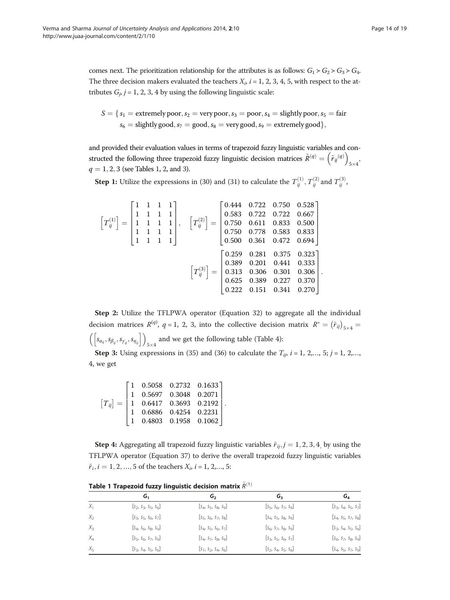$$
S = \{ s_1 = \text{extremely poor}, s_2 = \text{very poor}, s_3 = \text{poor}, s_4 = \text{slightly poor}, s_5 = \text{fair} \ s_6 = \text{slightly good}, s_7 = \text{good}, s_8 = \text{very good}, s_9 = \text{extremely good} \},
$$

and provided their evaluation values in terms of trapezoid fuzzy linguistic variables and constructed the following three trapezoid fuzzy linguistic decision matrices  $\tilde{R}^{(q)} = (\tilde{r}_{ij}^{(q)})$  $5\times4$ ;  $q = 1, 2, 3$  $q = 1, 2, 3$  $q = 1, 2, 3$  (see Tables 1, 2, and [3\)](#page-14-0).

**Step 1:** Utilize the expressions in (30) and (31) to calculate the  $T_{ii}^{(1)}$ ,  $T_{ii}^{(2)}$  and  $T_{ii}^{(3)}$ ,

$$
\begin{bmatrix} T_{ij}^{(1)} \end{bmatrix} = \begin{bmatrix} 1 & 1 & 1 & 1 \\ 1 & 1 & 1 & 1 \\ 1 & 1 & 1 & 1 \\ 1 & 1 & 1 & 1 \end{bmatrix}, \quad \begin{bmatrix} T_{ij}^{(2)} \end{bmatrix} = \begin{bmatrix} 0.444 & 0.722 & 0.750 & 0.528 \\ 0.583 & 0.722 & 0.722 & 0.667 \\ 0.750 & 0.611 & 0.833 & 0.500 \\ 0.750 & 0.778 & 0.583 & 0.833 \\ 0.500 & 0.361 & 0.472 & 0.694 \\ 0.309 & 0.201 & 0.441 & 0.333 \\ 0.389 & 0.201 & 0.441 & 0.333 \\ 0.625 & 0.389 & 0.227 & 0.370 \\ 0.625 & 0.389 & 0.227 & 0.370 \\ 0.222 & 0.151 & 0.341 & 0.270 \end{bmatrix}.
$$

Step 2: Utilize the TFLPWA operator (Equation 32) to aggregate all the individual decision matrices  $R^{(q)}$ ,  $q = 1$ , 2, 3, into the collective decision matrix  $R^* = (\tilde{r}_{ij})_{5 \times 4} =$  $\left( \left[ s_{\alpha_{ij}}, s_{\beta_{ij}}, s_{\gamma_{ij}}, s_{\eta_{ij}} \right] \right)$  and we get the following table (Table [4\)](#page-15-0):

**Step 3:** Using expressions in (35) and (36) to calculate the  $T_{ij}$ ,  $i = 1, 2,..., 5; j = 1, 2,...,$ 4, we get

$$
\begin{bmatrix} T_{ij} \end{bmatrix} = \begin{bmatrix} 1 & 0.5058 & 0.2732 & 0.1633 \\ 1 & 0.5697 & 0.3048 & 0.2071 \\ 1 & 0.6417 & 0.3693 & 0.2192 \\ 1 & 0.6886 & 0.4254 & 0.2231 \\ 1 & 0.4803 & 0.1958 & 0.1062 \end{bmatrix}.
$$

**Step 4:** Aggregating all trapezoid fuzzy linguistic variables  $\tilde{r}_{ij}$ ,  $j = 1, 2, 3, 4$ , by using the TFLPWA operator (Equation 37) to derive the overall trapezoid fuzzy linguistic variables  $\tilde{r}_i$ ,  $i = 1, 2, ..., 5$  of the teachers  $X_i$ ,  $i = 1, 2, ..., 5$ :

Table 1 Trapezoid fuzzy linguistic decision matrix  $\tilde{R}^{(1)}$ 

|       | G1                     | G,                     | G,                     | $G_{4}$                |
|-------|------------------------|------------------------|------------------------|------------------------|
| $X_1$ | $[s_2, s_3, s_5, s_6]$ | $[S_4, S_5, S_8, S_9]$ | $[s_5, s_6, s_7, s_9]$ | $[s_3, s_4, s_5, s_7]$ |
| $X_2$ | $[s_3, s_5, s_6, s_7]$ | $[s_5, s_6, s_7, s_8]$ | $[s_4, s_5, s_8, s_9]$ | $[s_4, s_5, s_7, s_8]$ |
| $X_3$ | $[s_4, s_6, s_8, s_9]$ | $[s_4, s_5, s_6, s_7]$ | $[s_6, s_7, s_8, s_9]$ | $[s_3, s_4, s_5, s_6]$ |
| $X_4$ | $[s_5, s_6, s_7, s_9]$ | $[S_4, S_7, S_8, S_9]$ | $[s_3, s_5, s_6, s_7]$ | $[s_6, s_7, s_8, s_9]$ |
| $X_5$ | $[s_3, s_4, s_5, s_6]$ | $[s_1, s_2, s_4, s_6]$ | $[s_2, s_4, s_5, s_6]$ | $[s_4, s_5, s_7, s_9]$ |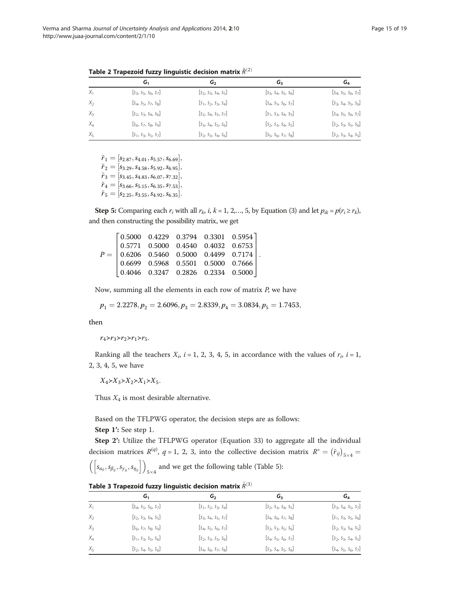|       | G1                     | G,                     | G3                     | G <sub>4</sub>                      |
|-------|------------------------|------------------------|------------------------|-------------------------------------|
| $X_1$ | $[s_3, s_5, s_6, s_7]$ | $[S_2, S_3, S_4, S_5]$ | $[s_3, s_4, s_5, s_6]$ | $[S_4, S_5, S_6, S_7]$              |
| $X_2$ | $[s_4, s_5, s_7, s_8]$ | $[s_1, s_2, s_3, s_4]$ | $[s_4, s_5, s_6, s_7]$ | $[S_3, S_4, S_5, S_6]$              |
| $X_3$ | $[s_2, s_3, s_4, s_6]$ | $[s_2, s_4, s_5, s_7]$ | $[s_1, s_3, s_4, s_5]$ | $[S_4, S_5, S_6, S_7]$              |
| $X_4$ | $[s_6, s_7, s_8, s_9]$ | $[s_3, s_4, s_5, s_6]$ | $[s_2, s_3, s_4, s_5]$ | $\left[ s_2, s_3, s_5, s_6 \right]$ |
| $X_5$ | $[s_1, s_3, s_5, s_7]$ | $[s_2, s_3, s_4, s_6]$ | $[s_5, s_6, s_7, s_8]$ | $[S_2, S_3, S_4, S_5]$              |

<span id="page-14-0"></span>Table 2 Trapezoid fuzzy linguistic decision matrix  $\tilde{R}^{(2)}$ 

 $\tilde{r}_1 = [s_{2.87}, s_{4.01}, s_{5.57}, s_{6.69}],$ <br> $\tilde{r}_2 = [s_{2.82}, s_{4.52}, s_{5.82}, s_{6.67}],$  $\tilde{r}_2 = [s_{3.29}, s_{4.58}, s_{5.92}, s_{6.95}],$ <br> $\tilde{r}_3 = [s_{3.45}, s_{4.92}, s_{6.97}, s_{7.22}]$  $\tilde{r}_3 = [s_{3.45}, s_{4.83}, s_{6.07}, s_{7.32}],$ <br> $\tilde{r}_4 = [s_{3.66}, s_{5.15}, s_{6.85}, s_{7.52}]$  $\tilde{r}_4 = [s_{3.66}, s_{5.15}, s_{6.35}, s_{7.53}],$ <br> $\tilde{r}_5 = [s_{3.95}, s_{3.55}, s_{4.82}, s_{6.35}]$  $\tilde{r}_5 = [s_{2.25}, s_{3.55}, s_{4.92}, s_{6.35}].$ 

**Step 5:** Comparing each  $r_i$  with all  $r_k$ ,  $i$ ,  $k = 1, 2,..., 5$ , by Equation (3) and let  $p_{ik} = p(r_i \ge r_k)$ , and then constructing the possibility matrix, we get

|  | $P = \begin{bmatrix} 0.5000 & 0.4229 & 0.3794 & 0.3301 & 0.5954 \ 0.5771 & 0.5000 & 0.4540 & 0.4032 & 0.6753 \ 0.6206 & 0.5460 & 0.5000 & 0.4499 & 0.7174 \ 0.6699 & 0.5968 & 0.5501 & 0.5000 & 0.7666 \ 0.4046 & 0.3247 & 0.2826 & 0.2334 & 0.5000 \end{bmatrix}.$ |  |  |
|--|---------------------------------------------------------------------------------------------------------------------------------------------------------------------------------------------------------------------------------------------------------------------|--|--|

Now, summing all the elements in each row of matrix  $P$ , we have

$$
p_1 = 2.2278, p_2 = 2.6096, p_3 = 2.8339, p_4 = 3.0834, p_5 = 1.7453,
$$

then

$$
r_4 \rightarrow r_3 \rightarrow r_2 \rightarrow r_1 \rightarrow r_5.
$$

Ranking all the teachers  $X_i$ ,  $i = 1, 2, 3, 4, 5$ , in accordance with the values of  $r_i$ ,  $i = 1$ , 2, 3, 4, 5, we have

 $X_4 \rightarrow X_3 \rightarrow X_2 \rightarrow X_1 \rightarrow X_5.$ 

Thus  $X_4$  is most desirable alternative.

Based on the TFLPWG operator, the decision steps are as follows:

Step 1': See step 1.

Step 2': Utilize the TFLPWG operator (Equation 33) to aggregate all the individual decision matrices  $R^{(q)}$ ,  $q = 1$ , 2, 3, into the collective decision matrix  $R^* = (\tilde{r}_{ij})_{5 \times 4}$  $\left(\left[s_{\alpha_{ij}}, s_{\beta_{ij}}, s_{\gamma_{ij}}, s_{\eta_{ij}}\right]\right)_{5\times 4}$  and we get the following table (Table [5\)](#page-15-0):

Table 3 Trapezoid fuzzy linguistic decision matrix  $\tilde{R}^{(3)}$ 

|       | G1                     | G,                     | G,                     | $G_{4}$                |
|-------|------------------------|------------------------|------------------------|------------------------|
| $X_1$ | $[s_4, s_5, s_6, s_7]$ | $[s_1, s_2, s_3, s_4]$ | $[s_2, s_3, s_4, s_5]$ | $[s_3, s_4, s_5, s_7]$ |
| $X_2$ | $[s_2, s_3, s_4, s_5]$ | $[s_3, s_4, s_5, s_7]$ | $[s_4, s_6, s_7, s_8]$ | $[s_1, s_3, s_5, s_6]$ |
| $X_3$ | $[s_6, s_7, s_8, s_9]$ | $[s_4, s_5, s_6, s_7]$ | $[s_2, s_3, s_5, s_6]$ | $[s_2, s_3, s_4, s_5]$ |
| $X_4$ | $[s_1, s_3, s_5, s_6]$ | $[s_2, s_3, s_5, s_6]$ | $[S_4, S_5, S_6, S_7]$ | $[s_2, s_3, s_4, s_5]$ |
| $X_5$ | $[s_2, s_4, s_5, s_6]$ | $[s_4, s_6, s_7, s_8]$ | $[S_3, S_4, S_5, S_6]$ | $[S_4, S_5, S_6, S_7]$ |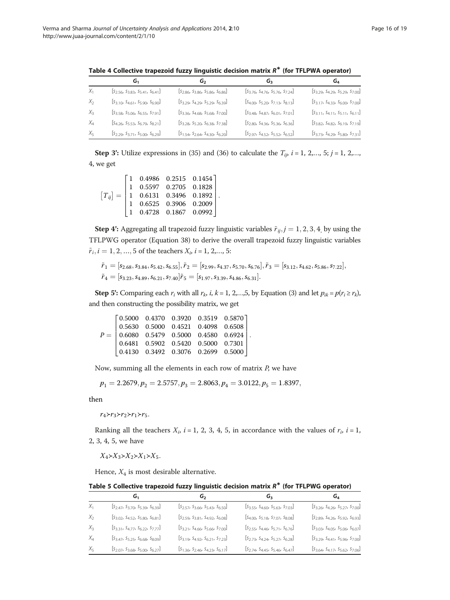|         | G,                       | G,                                         | G,                             | G <sub>a</sub>                                          |
|---------|--------------------------|--------------------------------------------|--------------------------------|---------------------------------------------------------|
| $X_1$   | [5256, 5383, 5541, 5641] | [5286, 5386, 5586, 5686]                   | [53.76, 54.76, 55.76, 57.24]   | [53.29, 54.29, 55.29, 57.00]                            |
| $X_2$   | [5310, 5461, 5590, 5690] | [5329, 5429, 5529, 5639]                   | [5400, 5520, 5713, 5813]       | $\left[ s_{3,17}, s_{4,33}, s_{6,00}, s_{7,00} \right]$ |
| $X_{3}$ | [5358, 5506, 5655, 5791] | [53.36, 54.68, 55.68, 57.00]               | $[S3.48, S4.87, S6.01, S7.01]$ | $[S3.11, S4.11, S5.11, S6.11]$                          |
| $X_4$   | [5426, 5553, 5679, 5821] | [5328, 5520, 5638, 5738]                   | [5280, 5436, 5536, 5636]       | [5382, 5482, 5619, 5719]                                |
| $X_{5}$ | [5229, 5371, 5500, 5629] | $[5_{1,54}, 5_{2,64}, 5_{4,30}, 5_{6,20}]$ | [5, 97, 545, 555, 565]         | [5373, 5429, 5580, 5731]                                |

<span id="page-15-0"></span>Table 4 Collective trapezoid fuzzy linguistic decision matrix  $R^*$  (for TFLPWA operator)

**Step 3':** Utilize expressions in (35) and (36) to calculate the  $T_{ij}$ ,  $i = 1, 2,..., 5; j = 1, 2,...,$ 4, we get

:

 $[T_{ij}] =$ 1 0:4986 0:2515 0:1454 1 0:5597 0:2705 0:1828 1 0:6131 0:3496 0:1892 1 0:6525 0:3906 0:2009 1 0:4728 0:1867 0:0992  $\sqrt{2}$  $\begin{array}{c} \begin{array}{c} \begin{array}{c} \end{array} \\ \begin{array}{c} \end{array} \end{array} \end{array}$ 1 7 7 7 7 5

**Step 4':** Aggregating all trapezoid fuzzy linguistic variables  $\tilde{r}_{ij}$ ,  $j = 1, 2, 3, 4$ , by using the TFLPWG operator (Equation 38) to derive the overall trapezoid fuzzy linguistic variables  $\tilde{r}_i$ ,  $i = 1, 2, ..., 5$  of the teachers  $X_i$ ,  $i = 1, 2, ..., 5$ :

$$
\tilde{r}_1 = [s_{2.68}, s_{3.84}, s_{5.42}, s_{6.55}], \tilde{r}_2 = [s_{2.99}, s_{4.37}, s_{5.70}, s_{6.76}], \tilde{r}_3 = [s_{3.12}, s_{4.62}, s_{5.86}, s_{7.22}],
$$
  

$$
\tilde{r}_4 = [s_{3.23}, s_{4.89}, s_{6.21}, s_{7.40}]\tilde{r}_5 = [s_{1.97}, s_{3.39}, s_{4.86}, s_{6.31}].
$$

**Step 5':** Comparing each  $r_i$  with all  $r_k$ ,  $i$ ,  $k = 1, 2,...,5$ , by Equation (3) and let  $p_{ik} = p(r_i \ge r_k)$ , and then constructing the possibility matrix, we get

|  | $P = \begin{bmatrix} 0.5000 & 0.4370 & 0.3920 & 0.3519 & 0.5870 \ 0.5630 & 0.5000 & 0.4521 & 0.4098 & 0.6508 \ 0.6080 & 0.5479 & 0.5000 & 0.4580 & 0.6924 \ 0.6481 & 0.5902 & 0.5420 & 0.5000 & 0.7301 \ 0.4130 & 0.3492 & 0.3076 & 0.2699 & 0.5000 \end{bmatrix}.$ |  |  |
|--|---------------------------------------------------------------------------------------------------------------------------------------------------------------------------------------------------------------------------------------------------------------------|--|--|

Now, summing all the elements in each row of matrix  $P$ , we have

$$
p_1 = 2.2679, p_2 = 2.5757, p_3 = 2.8063, p_4 = 3.0122, p_5 = 1.8397,
$$

then

 $r_4 \rightarrow r_3 \rightarrow r_2 \rightarrow r_1 \rightarrow r_5$ .

Ranking all the teachers  $X_i$ ,  $i = 1, 2, 3, 4, 5$ , in accordance with the values of  $r_i$ ,  $i = 1$ , 2, 3, 4, 5, we have

 $X_4 \rightarrow X_3 \rightarrow X_2 \rightarrow X_1 \rightarrow X_5$ .

Hence,  $X_4$  is most desirable alternative.

Table 5 Collective trapezoid fuzzy linguistic decision matrix  $R<sup>*</sup>$  (for TFLPWG operator)

|       | G,                             | G,                                         | G,                                                | G <sub>a</sub>                             |
|-------|--------------------------------|--------------------------------------------|---------------------------------------------------|--------------------------------------------|
| $X_1$ | $[S2.47, S3.70, S5.39, S6.39]$ | $[5_{2.57}, 5_{3.66}, 5_{5.43}, 5_{6.50}]$ | $S_{3,55}$ , $S_{4,60}$ , $S_{5,63}$ , $S_{7,03}$ | $[S_{3.26}, S_{4.26}, S_{5.27}, S_{7.00}]$ |
| $X_2$ | [53.02, 54.52, 55.80, 56.81]   | [52.59, 53.81, 54.92, 56.08]               | [54.00, 55.18, 57.07, 58.08]                      | [52.89, 54.26, 55.92, 56.93]               |
| $X_3$ | [5331, 5477, 5622, 5777]       | $[S_{3.21}, S_{4.66}, S_{5.66}, S_{7.00}]$ | $S_{2.55}$ , $S_{4.46}$ , $S_{5.71}$ , $S_{6.76}$ | $[s3.03, s4.05, s5.06, s6.07]$             |
| $X_4$ | $[S3.47, S5.25, S6.68, S8.09]$ | [5319, 5492, 5621, 5723]                   | [5, 73, 54, 24, 55, 27, 56, 28]                   | $[s3.29, s4.41, s5.96, s7.00]$             |
| $X_5$ | [52.07, 53.68, 55.00, 56.27]   | $[5_{1,36}, 5_{2,46}, 5_{4,23}, 5_{6,17}]$ | $[S_{2,74}, S_{4,45}, S_{5,46}, S_{6,47}]$        | [53.64, 54.17, 55.62, 57.06]               |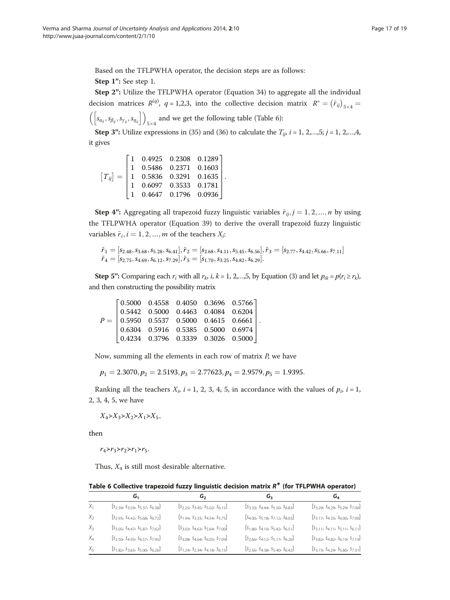Based on the TFLPWHA operator, the decision steps are as follows:

Step 1": See step 1.

Step 2": Utilize the TFLPWHA operator (Equation 34) to aggregate all the individual decision matrices  $R^{(q)}$ ,  $q = 1,2,3$ , into the collective decision matrix  $R^* = (\tilde{r}_{ij})_{5 \times 4} =$  $\left( \left[ s_{\alpha_{ij}}, s_{\beta_{ij}}, s_{\gamma_{ij}}, s_{\eta_{ij}} \right] \right)$  and we get the following table (Table 6):

**Step 3":** Utilize expressions in (35) and (36) to calculate the  $T_{ij}$ ,  $i = 1, 2, \ldots, 5; j = 1, 2, \ldots, 4$ , it gives

|  |  | $\begin{bmatrix} T_{ij} \end{bmatrix} = \begin{bmatrix} 1 & 0.4925 & 0.2308 & 0.1289 \ 1 & 0.5486 & 0.2371 & 0.1603 \ 1 & 0.5836 & 0.3291 & 0.1635 \ 1 & 0.6097 & 0.3533 & 0.1781 \ 1 & 0.4647 & 0.1796 & 0.0936 \end{bmatrix}.$ |
|--|--|----------------------------------------------------------------------------------------------------------------------------------------------------------------------------------------------------------------------------------|

**Step 4":** Aggregating all trapezoid fuzzy linguistic variables  $\tilde{r}_{ij}, j = 1, 2, ..., n$  by using the TFLPWHA operator (Equation 39) to derive the overall trapezoid fuzzy linguistic variables  $\tilde{r}_i$ ,  $i = 1, 2, ..., m$  of the teachers  $X_i$ :

 $\tilde{r}_1 = [s_{2.48}, s_{3.68}, s_{5.28}, s_{6.41}], \tilde{r}_2 = [s_{2.68}, s_{4.11}, s_{5.45}, s_{6.56}], \tilde{r}_3 = [s_{2.77}, s_{4.42}, s_{5.66}, s_{7.11}]$ <br> $\tilde{r}_4 = [s_{2.75}, s_{4.62}, s_{5.66}, s_{7.11}]$  $\tilde{r}_4 = [\tilde{s}_2.75, \tilde{s}_4.69, \tilde{s}_6.12, \tilde{s}_7.29], \tilde{r}_5 = [\tilde{s}_1.70, \tilde{s}_3.25, \tilde{s}_4.82, \tilde{s}_6.29].$ 

**Step 5":** Comparing each  $r_i$  with all  $r_k$ ,  $i$ ,  $k = 1, 2,...,5$ , by Equation (3) and let  $p_{ik} = p(r_i \ge r_k)$ , and then constructing the possibility matrix

|  | $P = \begin{bmatrix} 0.5000 & 0.4558 & 0.4050 & 0.3696 & 0.5766 \ 0.5442 & 0.5000 & 0.4463 & 0.4084 & 0.6204 \ 0.5950 & 0.5537 & 0.5000 & 0.4615 & 0.6661 \ 0.6304 & 0.5916 & 0.5385 & 0.5000 & 0.6974 \ 0.4234 & 0.3796 & 0.3339 & 0.3026 & 0.5000 \end{bmatrix}.$ |  |  |
|--|---------------------------------------------------------------------------------------------------------------------------------------------------------------------------------------------------------------------------------------------------------------------|--|--|

Now, summing all the elements in each row of matrix  $P$ , we have

$$
p_1 = 2.3070, p_2 = 2.5193, p_3 = 2.77623, p_4 = 2.9579, p_5 = 1.9395.
$$

Ranking all the teachers  $X_i$ ,  $i = 1, 2, 3, 4, 5$ , in accordance with the values of  $p_i$ ,  $i = 1$ , 2, 3, 4, 5, we have

 $X_4 \rightarrow X_3 \rightarrow X_2 \rightarrow X_1 \rightarrow X_5$ ;

then

 $r_4 \rightarrow r_3 \rightarrow r_2 \rightarrow r_1 \rightarrow r_5$ .

Thus,  $X_4$  is still most desirable alternative.

Table 6 Collective trapezoid fuzzy linguistic decision matrix  $R^*$  (for TFLPWHA operator)

|       | G.                                                      |                                            |                                                       |                                            |
|-------|---------------------------------------------------------|--------------------------------------------|-------------------------------------------------------|--------------------------------------------|
|       |                                                         | G,                                         | G,                                                    | $G_{\rm A}$                                |
| $X_1$ | $[5_{2,39}, 5_{3,59}, 5_{5,37}, 5_{6,38}]$              | $[S_{2,25}, S_{3,45}, S_{5,02}, S_{6,15}]$ | $[S_{3,33}, S_{4,44}, S_{5,50}, S_{6,83}]$            | $[S_{3.29}, S_{4.29}, S_{5.29}, S_{7.00}]$ |
| $X_2$ | [52.93, 54.42, 55.68, 56.72]                            | [51.94, 53.33, 54.54, 55.75]               | [54.00, 55.18, 57.12, 58.03]                          | $[S_{3.17}, S_{4.33}, S_{6.00}, S_{7.00}]$ |
| $X_3$ | $\left[ s_{3,05}, s_{4,47}, s_{5,87}, s_{7,62} \right]$ | $[S3.03, S4.63, S5.64, S7.00]$             | $\left[5_{1,86}, 5_{4,10}, 5_{5,42}, 5_{6,51}\right]$ | $[s_{3,11}, s_{4,11}, s_{5,11}, s_{6,11}]$ |
| $X_4$ | $\left[ s_{2,50}, s_{4,93}, s_{6,57}, s_{7,95} \right]$ | $[5_{3.08}, 5_{4.64}, 5_{6.05}, 5_{7.09}]$ | [5, 66, 5412, 5517, 5620]                             | $[s3.82, s4.82, s6.19, s7.19]$             |
| $X_5$ | $[5_{1,82}, 5_{3,65}, 5_{5,00}, 5_{6,26}]$              | $[5_{1,24}, 5_{2,34}, 5_{4,18}, 5_{6,15}]$ | [52.56, 54.38, 55.40, 56.42]                          | $[S3.73, S4.29, S5.80, S7.31]$             |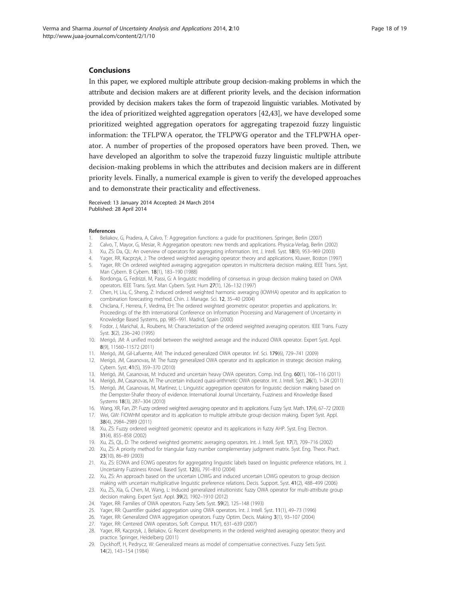#### <span id="page-17-0"></span>Conclusions

In this paper, we explored multiple attribute group decision-making problems in which the attribute and decision makers are at different priority levels, and the decision information provided by decision makers takes the form of trapezoid linguistic variables. Motivated by the idea of prioritized weighted aggregation operators [[42,43\]](#page-18-0), we have developed some prioritized weighted aggregation operators for aggregating trapezoid fuzzy linguistic information: the TFLPWA operator, the TFLPWG operator and the TFLPWHA operator. A number of properties of the proposed operators have been proved. Then, we have developed an algorithm to solve the trapezoid fuzzy linguistic multiple attribute decision-making problems in which the attributes and decision makers are in different priority levels. Finally, a numerical example is given to verify the developed approaches and to demonstrate their practicality and effectiveness.

Received: 13 January 2014 Accepted: 24 March 2014 Published: 28 April 2014

#### **References**

- 1. Beliakov, G, Pradera, A, Calvo, T: Aggregation functions: a guide for practitioners. Springer, Berlin (2007)
- 2. Calvo, T, Mayor, G, Mesiar, R: Aggregation operators: new trends and applications. Physica-Verlag, Berlin (2002)
- 3. Xu, ZS: Da, QL: An overview of operators for aggregating information. Int. J. Intell. Syst. 18(9), 953–969 (2003)
- Yager, RR, Kacprzyk, J: The ordered weighted averaging operator: theory and applications. Kluwer, Boston (1997) 5. Yager, RR: On ordered weighted averaging aggregation operators in multicriteria decision making. IEEE Trans. Syst.
- Man Cybern. B Cybern. 18(1), 183–190 (1988) 6. Bordonga, G, Fedrizzi, M, Passi, G: A linguistic modelling of consensus in group decision making based on OWA
- operators. IEEE Trans. Syst. Man Cybern. Syst. Hum 27(1), 126–132 (1997)
- 7. Chen, H, Liu, C, Sheng, Z: Induced ordered weighted harmonic averaging (IOWHA) operator and its application to combination forecasting method. Chin. J. Manage. Sci. 12, 35–40 (2004)
- 8. Chiclana, F, Herrera, F, Viedma, EH: The ordered weighted geometric operator: properties and applications. In: Proceedings of the 8th International Conference on Information Processing and Management of Uncertainty in Knowledge Based Systems, pp. 985–991. Madrid, Spain (2000)
- 9. Fodor, J, Marichal, JL, Roubens, M: Characterization of the ordered weighted averaging operators. IEEE Trans. Fuzzy Syst. 3(2), 236–240 (1995)
- 10. Merigó, JM: A unified model between the weighted average and the induced OWA operator. Expert Syst. Appl. 8(9), 11560–11572 (2011)
- 11. Merigó, JM, Gil-Lafuente, AM: The induced generalized OWA operator. Inf. Sci. 179(6), 729–741 (2009)
- 12. Merigó, JM, Casanovas, M: The fuzzy generalized OWA operator and its application in strategic decision making. Cybern. Syst. 41(5), 359–370 (2010)
- 13. Merigó, JM, Casanovas, M: Induced and uncertain heavy OWA operators. Comp. Ind. Eng. 60(1), 106–116 (2011)
- 14. Merigó, JM, Casanovas, M: The uncertain induced quasi-arithmetic OWA operator. Int. J. Intell. Syst. 26(1), 1–24 (2011)
- 15. Merigó, JM, Casanovas, M, Martìnez, L: Linguistic aggregation operators for linguistic decision making based on the Dempster-Shafer theory of evidence. International Journal Uncertainty, Fuzziness and Knowledge Based Systems 18(3), 287–304 (2010)
- 16. Wang, XR, Fan, ZP: Fuzzy ordered weighted averaging operator and its applications. Fuzzy Syst. Math. 17(4), 67–72 (2003)
- 17. Wei, GW: FIOWHM operator and its application to multiple attribute group decision making. Expert Syst. Appl. 38(4), 2984–2989 (2011)
- 18. Xu, ZS: Fuzzy ordered weighted geometric operator and its applications in fuzzy AHP. Syst. Eng. Electron. 31(4), 855–858 (2002)
- 19. Xu, ZS, QL, D: The ordered weighted geometric averaging operators. Int. J. Intell. Syst. 17(7), 709–716 (2002)
- 20. Xu, ZS: A priority method for triangular fuzzy number complementary judgment matrix. Syst. Eng. Theor. Pract. 23(10), 86–89 (2003)
- 21. Xu, ZS: EOWA and EOWG operators for aggregating linguistic labels based on linguistic preference relations. Int. J. Uncertainty Fuzziness Knowl. Based Syst. 12(6), 791–810 (2004)
- 22. Xu, ZS: An approach based on the uncertain LOWG and induced uncertain LOWG operators to group decision making with uncertain multiplicative linguistic preference relations. Decis. Support. Syst. 41(2), 488–499 (2006)
- 23. Xu, ZS, Xia, G, Chen, M, Wang, L: Induced generalized intuitionistic fuzzy OWA operator for multi-attribute group decision making. Expert Syst. Appl. 39(2), 1902–1910 (2012)
- 24. Yager, RR: Families of OWA operators. Fuzzy Sets Syst. 59(2), 125–148 (1993)
- 25. Yager, RR: Quantifier guided aggregation using OWA operators. Int. J. Intell. Syst. 11(1), 49–73 (1996)
- 26. Yager, RR: Generalized OWA aggregation operators. Fuzzy Optim. Decis. Making 3(1), 93–107 (2004)
- 27. Yager, RR: Centered OWA operators. Soft. Comput. 11(7), 631–639 (2007)
- 28. Yager, RR, Kacprzyk, J, Beliakov, G: Recent developments in the ordered weighted averaging operator: theory and practice. Springer, Heidelberg (2011)
- 29. Dyckhoff, H, Pedrycz, W: Generalized means as model of compensative connectives. Fuzzy Sets Syst. 14(2), 143–154 (1984)